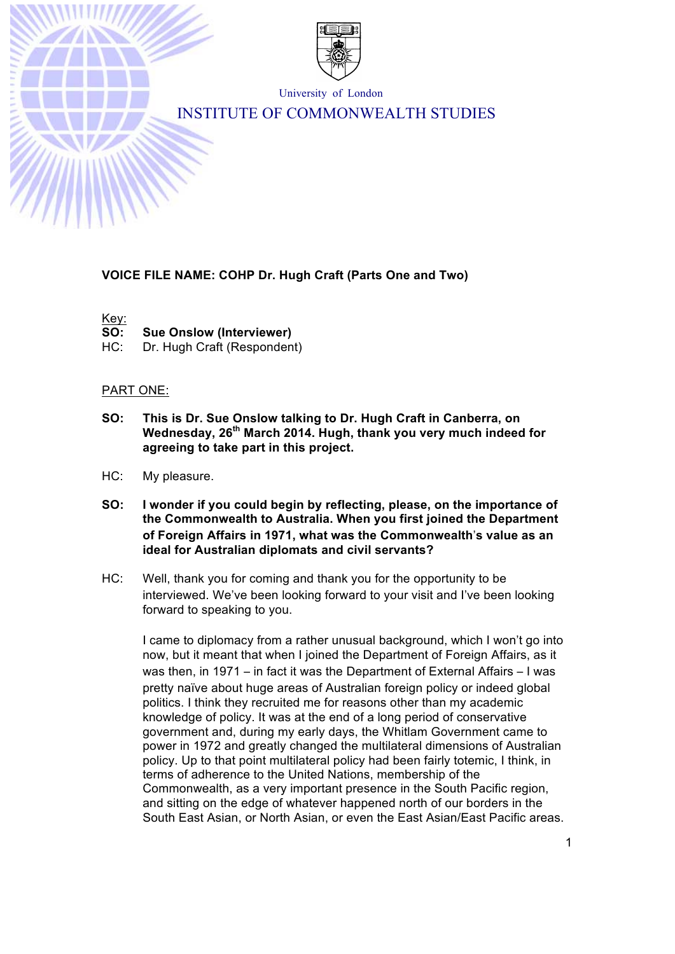

University of London

# INSTITUTE OF COMMONWEALTH STUDIES

## **VOICE FILE NAME: COHP Dr. Hugh Craft (Parts One and Two)**

Key:

**SO: Sue Onslow (Interviewer)**

HC: Dr. Hugh Craft (Respondent)

## PART ONE:

- **SO: This is Dr. Sue Onslow talking to Dr. Hugh Craft in Canberra, on Wednesday, 26th March 2014. Hugh, thank you very much indeed for agreeing to take part in this project.**
- HC: My pleasure.
- **SO: I wonder if you could begin by reflecting, please, on the importance of the Commonwealth to Australia. When you first joined the Department of Foreign Affairs in 1971, what was the Commonwealth**'**s value as an ideal for Australian diplomats and civil servants?**
- HC: Well, thank you for coming and thank you for the opportunity to be interviewed. We've been looking forward to your visit and I've been looking forward to speaking to you.

I came to diplomacy from a rather unusual background, which I won't go into now, but it meant that when I joined the Department of Foreign Affairs, as it was then, in 1971 – in fact it was the Department of External Affairs – I was pretty naïve about huge areas of Australian foreign policy or indeed global politics. I think they recruited me for reasons other than my academic knowledge of policy. It was at the end of a long period of conservative government and, during my early days, the Whitlam Government came to power in 1972 and greatly changed the multilateral dimensions of Australian policy. Up to that point multilateral policy had been fairly totemic, I think, in terms of adherence to the United Nations, membership of the Commonwealth, as a very important presence in the South Pacific region, and sitting on the edge of whatever happened north of our borders in the South East Asian, or North Asian, or even the East Asian/East Pacific areas.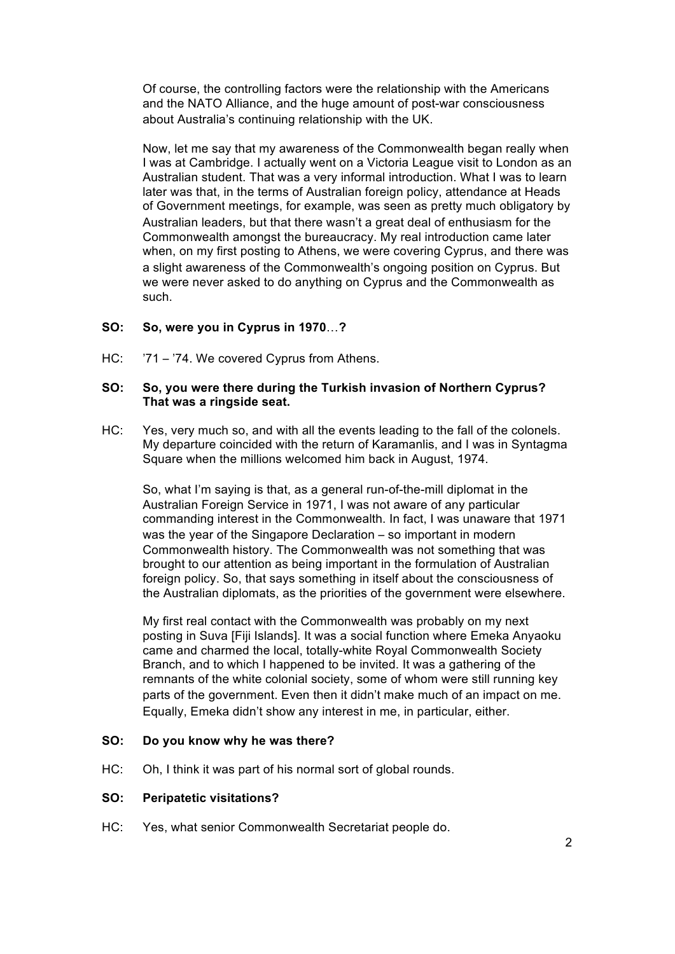Of course, the controlling factors were the relationship with the Americans and the NATO Alliance, and the huge amount of post-war consciousness about Australia's continuing relationship with the UK.

Now, let me say that my awareness of the Commonwealth began really when I was at Cambridge. I actually went on a Victoria League visit to London as an Australian student. That was a very informal introduction. What I was to learn later was that, in the terms of Australian foreign policy, attendance at Heads of Government meetings, for example, was seen as pretty much obligatory by Australian leaders, but that there wasn't a great deal of enthusiasm for the Commonwealth amongst the bureaucracy. My real introduction came later when, on my first posting to Athens, we were covering Cyprus, and there was a slight awareness of the Commonwealth's ongoing position on Cyprus. But we were never asked to do anything on Cyprus and the Commonwealth as such.

### **SO: So, were you in Cyprus in 1970**…**?**

HC:  $\frac{71 - 74}{2}$ . We covered Cyprus from Athens.

#### **SO: So, you were there during the Turkish invasion of Northern Cyprus? That was a ringside seat.**

HC: Yes, very much so, and with all the events leading to the fall of the colonels. My departure coincided with the return of Karamanlis, and I was in Syntagma Square when the millions welcomed him back in August, 1974.

So, what I'm saying is that, as a general run-of-the-mill diplomat in the Australian Foreign Service in 1971, I was not aware of any particular commanding interest in the Commonwealth. In fact, I was unaware that 1971 was the year of the Singapore Declaration – so important in modern Commonwealth history. The Commonwealth was not something that was brought to our attention as being important in the formulation of Australian foreign policy. So, that says something in itself about the consciousness of the Australian diplomats, as the priorities of the government were elsewhere.

My first real contact with the Commonwealth was probably on my next posting in Suva [Fiji Islands]. It was a social function where Emeka Anyaoku came and charmed the local, totally-white Royal Commonwealth Society Branch, and to which I happened to be invited. It was a gathering of the remnants of the white colonial society, some of whom were still running key parts of the government. Even then it didn't make much of an impact on me. Equally, Emeka didn't show any interest in me, in particular, either.

#### **SO: Do you know why he was there?**

HC: Oh, I think it was part of his normal sort of global rounds.

#### **SO: Peripatetic visitations?**

HC: Yes, what senior Commonwealth Secretariat people do.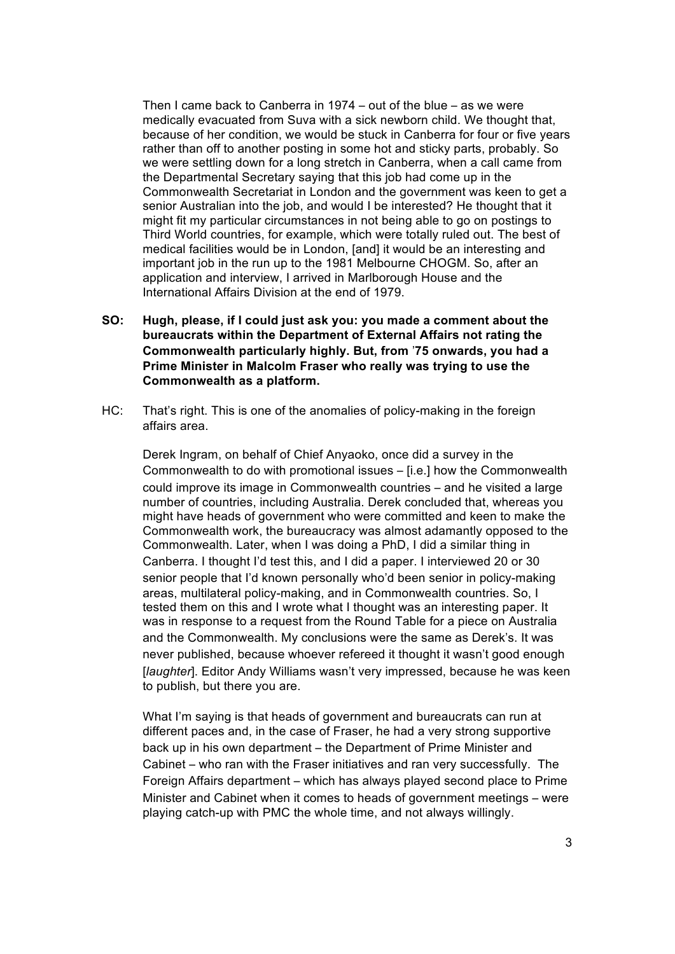Then I came back to Canberra in 1974 – out of the blue – as we were medically evacuated from Suva with a sick newborn child. We thought that, because of her condition, we would be stuck in Canberra for four or five years rather than off to another posting in some hot and sticky parts, probably. So we were settling down for a long stretch in Canberra, when a call came from the Departmental Secretary saying that this job had come up in the Commonwealth Secretariat in London and the government was keen to get a senior Australian into the job, and would I be interested? He thought that it might fit my particular circumstances in not being able to go on postings to Third World countries, for example, which were totally ruled out. The best of medical facilities would be in London, [and] it would be an interesting and important job in the run up to the 1981 Melbourne CHOGM. So, after an application and interview, I arrived in Marlborough House and the International Affairs Division at the end of 1979.

- **SO: Hugh, please, if I could just ask you: you made a comment about the bureaucrats within the Department of External Affairs not rating the Commonwealth particularly highly. But, from** '**75 onwards, you had a Prime Minister in Malcolm Fraser who really was trying to use the Commonwealth as a platform.**
- HC: That's right. This is one of the anomalies of policy-making in the foreign affairs area.

Derek Ingram, on behalf of Chief Anyaoko, once did a survey in the Commonwealth to do with promotional issues – [i.e.] how the Commonwealth could improve its image in Commonwealth countries – and he visited a large number of countries, including Australia. Derek concluded that, whereas you might have heads of government who were committed and keen to make the Commonwealth work, the bureaucracy was almost adamantly opposed to the Commonwealth. Later, when I was doing a PhD, I did a similar thing in Canberra. I thought I'd test this, and I did a paper. I interviewed 20 or 30 senior people that I'd known personally who'd been senior in policy-making areas, multilateral policy-making, and in Commonwealth countries. So, I tested them on this and I wrote what I thought was an interesting paper. It was in response to a request from the Round Table for a piece on Australia and the Commonwealth. My conclusions were the same as Derek's. It was never published, because whoever refereed it thought it wasn't good enough [*laughter*]. Editor Andy Williams wasn't very impressed, because he was keen to publish, but there you are.

What I'm saying is that heads of government and bureaucrats can run at different paces and, in the case of Fraser, he had a very strong supportive back up in his own department – the Department of Prime Minister and Cabinet – who ran with the Fraser initiatives and ran very successfully. The Foreign Affairs department – which has always played second place to Prime Minister and Cabinet when it comes to heads of government meetings – were playing catch-up with PMC the whole time, and not always willingly.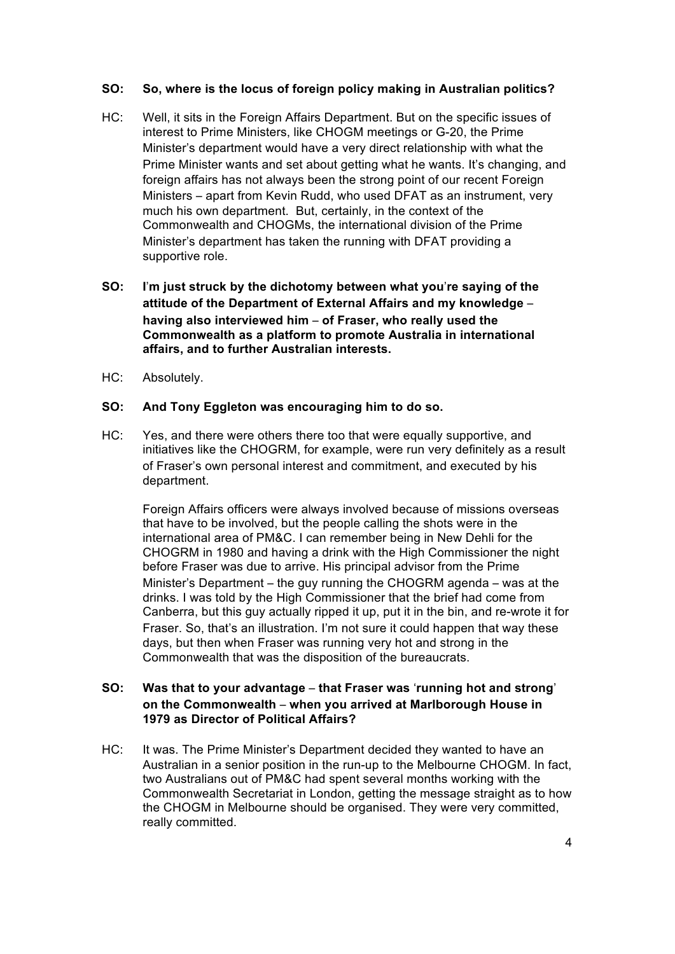### **SO: So, where is the locus of foreign policy making in Australian politics?**

- HC: Well, it sits in the Foreign Affairs Department. But on the specific issues of interest to Prime Ministers, like CHOGM meetings or G-20, the Prime Minister's department would have a very direct relationship with what the Prime Minister wants and set about getting what he wants. It's changing, and foreign affairs has not always been the strong point of our recent Foreign Ministers – apart from Kevin Rudd, who used DFAT as an instrument, very much his own department. But, certainly, in the context of the Commonwealth and CHOGMs, the international division of the Prime Minister's department has taken the running with DFAT providing a supportive role.
- **SO: I**'**m just struck by the dichotomy between what you**'**re saying of the attitude of the Department of External Affairs and my knowledge** – **having also interviewed him** – **of Fraser, who really used the Commonwealth as a platform to promote Australia in international affairs, and to further Australian interests.**
- HC: Absolutely.

### **SO: And Tony Eggleton was encouraging him to do so.**

HC: Yes, and there were others there too that were equally supportive, and initiatives like the CHOGRM, for example, were run very definitely as a result of Fraser's own personal interest and commitment, and executed by his department.

Foreign Affairs officers were always involved because of missions overseas that have to be involved, but the people calling the shots were in the international area of PM&C. I can remember being in New Dehli for the CHOGRM in 1980 and having a drink with the High Commissioner the night before Fraser was due to arrive. His principal advisor from the Prime Minister's Department – the guy running the CHOGRM agenda – was at the drinks. I was told by the High Commissioner that the brief had come from Canberra, but this guy actually ripped it up, put it in the bin, and re-wrote it for Fraser. So, that's an illustration. I'm not sure it could happen that way these days, but then when Fraser was running very hot and strong in the Commonwealth that was the disposition of the bureaucrats.

# **SO: Was that to your advantage** – **that Fraser was** '**running hot and strong**' **on the Commonwealth** – **when you arrived at Marlborough House in 1979 as Director of Political Affairs?**

HC: It was. The Prime Minister's Department decided they wanted to have an Australian in a senior position in the run-up to the Melbourne CHOGM. In fact, two Australians out of PM&C had spent several months working with the Commonwealth Secretariat in London, getting the message straight as to how the CHOGM in Melbourne should be organised. They were very committed, really committed.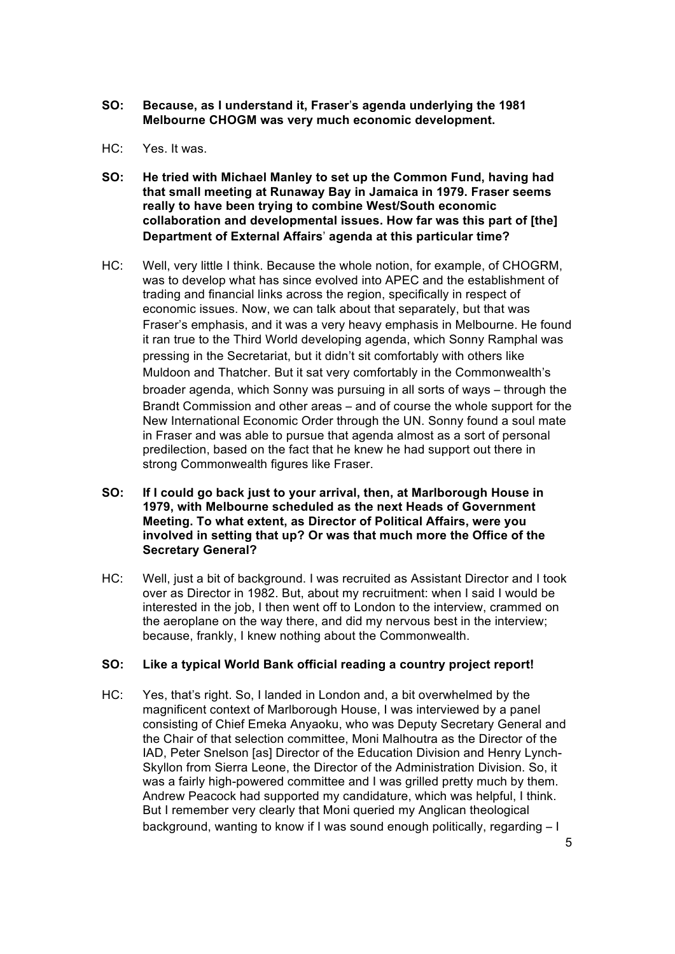- **SO: Because, as I understand it, Fraser**'**s agenda underlying the 1981 Melbourne CHOGM was very much economic development.**
- HC: Yes. It was.
- **SO: He tried with Michael Manley to set up the Common Fund, having had that small meeting at Runaway Bay in Jamaica in 1979. Fraser seems really to have been trying to combine West/South economic collaboration and developmental issues. How far was this part of [the] Department of External Affairs**' **agenda at this particular time?**
- HC: Well, very little I think. Because the whole notion, for example, of CHOGRM, was to develop what has since evolved into APEC and the establishment of trading and financial links across the region, specifically in respect of economic issues. Now, we can talk about that separately, but that was Fraser's emphasis, and it was a very heavy emphasis in Melbourne. He found it ran true to the Third World developing agenda, which Sonny Ramphal was pressing in the Secretariat, but it didn't sit comfortably with others like Muldoon and Thatcher. But it sat very comfortably in the Commonwealth's broader agenda, which Sonny was pursuing in all sorts of ways – through the Brandt Commission and other areas – and of course the whole support for the New International Economic Order through the UN. Sonny found a soul mate in Fraser and was able to pursue that agenda almost as a sort of personal predilection, based on the fact that he knew he had support out there in strong Commonwealth figures like Fraser.
- **SO: If I could go back just to your arrival, then, at Marlborough House in 1979, with Melbourne scheduled as the next Heads of Government Meeting. To what extent, as Director of Political Affairs, were you involved in setting that up? Or was that much more the Office of the Secretary General?**
- HC: Well, just a bit of background. I was recruited as Assistant Director and I took over as Director in 1982. But, about my recruitment: when I said I would be interested in the job, I then went off to London to the interview, crammed on the aeroplane on the way there, and did my nervous best in the interview; because, frankly, I knew nothing about the Commonwealth.

# **SO: Like a typical World Bank official reading a country project report!**

HC: Yes, that's right. So, I landed in London and, a bit overwhelmed by the magnificent context of Marlborough House, I was interviewed by a panel consisting of Chief Emeka Anyaoku, who was Deputy Secretary General and the Chair of that selection committee, Moni Malhoutra as the Director of the IAD, Peter Snelson [as] Director of the Education Division and Henry Lynch-Skyllon from Sierra Leone, the Director of the Administration Division. So, it was a fairly high-powered committee and I was grilled pretty much by them. Andrew Peacock had supported my candidature, which was helpful, I think. But I remember very clearly that Moni queried my Anglican theological background, wanting to know if I was sound enough politically, regarding – I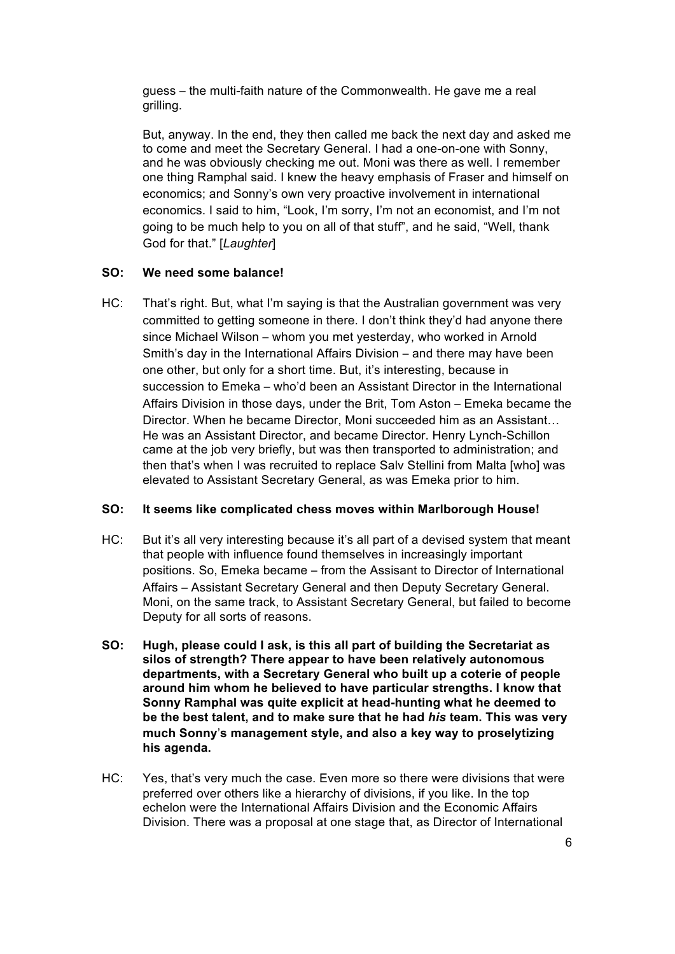guess – the multi-faith nature of the Commonwealth. He gave me a real grilling.

But, anyway. In the end, they then called me back the next day and asked me to come and meet the Secretary General. I had a one-on-one with Sonny, and he was obviously checking me out. Moni was there as well. I remember one thing Ramphal said. I knew the heavy emphasis of Fraser and himself on economics; and Sonny's own very proactive involvement in international economics. I said to him, "Look, I'm sorry, I'm not an economist, and I'm not going to be much help to you on all of that stuff", and he said, "Well, thank God for that." [*Laughter*]

## **SO: We need some balance!**

HC: That's right. But, what I'm saying is that the Australian government was very committed to getting someone in there. I don't think they'd had anyone there since Michael Wilson – whom you met yesterday, who worked in Arnold Smith's day in the International Affairs Division – and there may have been one other, but only for a short time. But, it's interesting, because in succession to Emeka – who'd been an Assistant Director in the International Affairs Division in those days, under the Brit, Tom Aston – Emeka became the Director. When he became Director, Moni succeeded him as an Assistant… He was an Assistant Director, and became Director. Henry Lynch-Schillon came at the job very briefly, but was then transported to administration; and then that's when I was recruited to replace Salv Stellini from Malta [who] was elevated to Assistant Secretary General, as was Emeka prior to him.

#### **SO: It seems like complicated chess moves within Marlborough House!**

- HC: But it's all very interesting because it's all part of a devised system that meant that people with influence found themselves in increasingly important positions. So, Emeka became – from the Assisant to Director of International Affairs – Assistant Secretary General and then Deputy Secretary General. Moni, on the same track, to Assistant Secretary General, but failed to become Deputy for all sorts of reasons.
- **SO: Hugh, please could I ask, is this all part of building the Secretariat as silos of strength? There appear to have been relatively autonomous departments, with a Secretary General who built up a coterie of people around him whom he believed to have particular strengths. I know that Sonny Ramphal was quite explicit at head-hunting what he deemed to be the best talent, and to make sure that he had** *his* **team. This was very much Sonny**'**s management style, and also a key way to proselytizing his agenda.**
- HC: Yes, that's very much the case. Even more so there were divisions that were preferred over others like a hierarchy of divisions, if you like. In the top echelon were the International Affairs Division and the Economic Affairs Division. There was a proposal at one stage that, as Director of International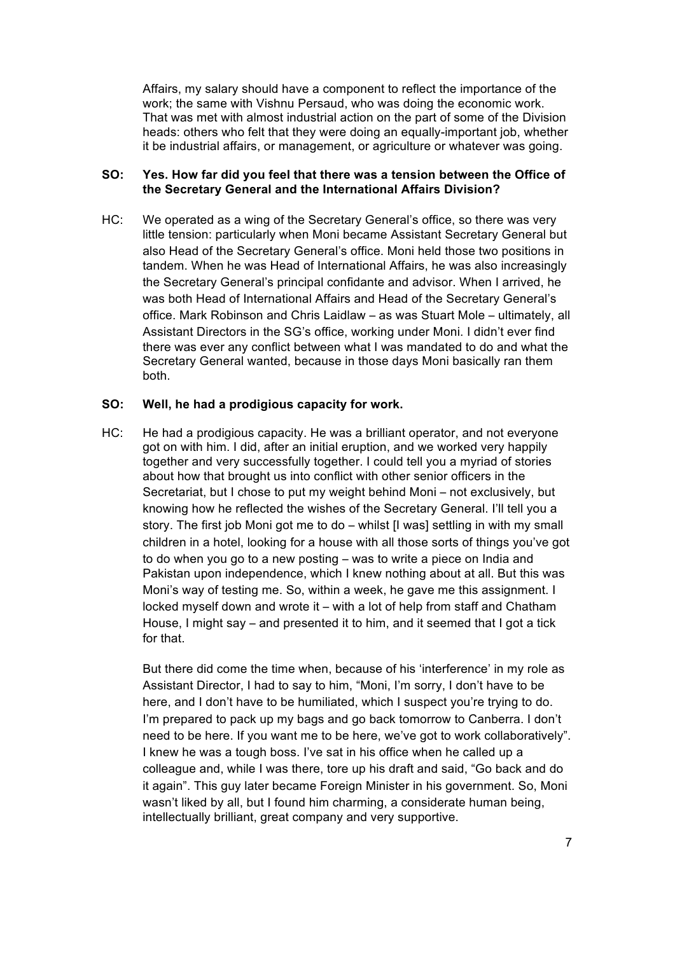Affairs, my salary should have a component to reflect the importance of the work; the same with Vishnu Persaud, who was doing the economic work. That was met with almost industrial action on the part of some of the Division heads: others who felt that they were doing an equally-important job, whether it be industrial affairs, or management, or agriculture or whatever was going.

#### **SO: Yes. How far did you feel that there was a tension between the Office of the Secretary General and the International Affairs Division?**

HC: We operated as a wing of the Secretary General's office, so there was very little tension: particularly when Moni became Assistant Secretary General but also Head of the Secretary General's office. Moni held those two positions in tandem. When he was Head of International Affairs, he was also increasingly the Secretary General's principal confidante and advisor. When I arrived, he was both Head of International Affairs and Head of the Secretary General's office. Mark Robinson and Chris Laidlaw – as was Stuart Mole – ultimately, all Assistant Directors in the SG's office, working under Moni. I didn't ever find there was ever any conflict between what I was mandated to do and what the Secretary General wanted, because in those days Moni basically ran them both.

#### **SO: Well, he had a prodigious capacity for work.**

HC: He had a prodigious capacity. He was a brilliant operator, and not everyone got on with him. I did, after an initial eruption, and we worked very happily together and very successfully together. I could tell you a myriad of stories about how that brought us into conflict with other senior officers in the Secretariat, but I chose to put my weight behind Moni – not exclusively, but knowing how he reflected the wishes of the Secretary General. I'll tell you a story. The first job Moni got me to do – whilst [I was] settling in with my small children in a hotel, looking for a house with all those sorts of things you've got to do when you go to a new posting – was to write a piece on India and Pakistan upon independence, which I knew nothing about at all. But this was Moni's way of testing me. So, within a week, he gave me this assignment. I locked myself down and wrote it – with a lot of help from staff and Chatham House, I might say – and presented it to him, and it seemed that I got a tick for that.

But there did come the time when, because of his 'interference' in my role as Assistant Director, I had to say to him, "Moni, I'm sorry, I don't have to be here, and I don't have to be humiliated, which I suspect you're trying to do. I'm prepared to pack up my bags and go back tomorrow to Canberra. I don't need to be here. If you want me to be here, we've got to work collaboratively". I knew he was a tough boss. I've sat in his office when he called up a colleague and, while I was there, tore up his draft and said, "Go back and do it again". This guy later became Foreign Minister in his government. So, Moni wasn't liked by all, but I found him charming, a considerate human being, intellectually brilliant, great company and very supportive.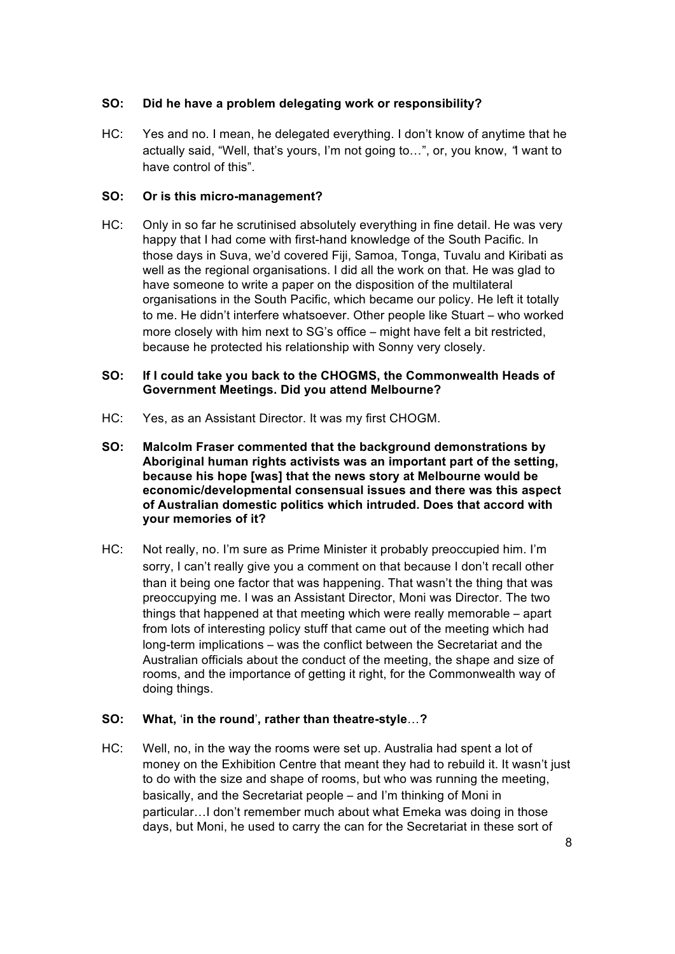# **SO: Did he have a problem delegating work or responsibility?**

HC: Yes and no. I mean, he delegated everything. I don't know of anytime that he actually said, "Well, that's yours, I'm not going to…", or, you know, "I want to have control of this".

## **SO: Or is this micro-management?**

HC: Only in so far he scrutinised absolutely everything in fine detail. He was very happy that I had come with first-hand knowledge of the South Pacific. In those days in Suva, we'd covered Fiji, Samoa, Tonga, Tuvalu and Kiribati as well as the regional organisations. I did all the work on that. He was glad to have someone to write a paper on the disposition of the multilateral organisations in the South Pacific, which became our policy. He left it totally to me. He didn't interfere whatsoever. Other people like Stuart – who worked more closely with him next to SG's office – might have felt a bit restricted, because he protected his relationship with Sonny very closely.

## **SO: If I could take you back to the CHOGMS, the Commonwealth Heads of Government Meetings. Did you attend Melbourne?**

- HC: Yes, as an Assistant Director. It was my first CHOGM.
- **SO: Malcolm Fraser commented that the background demonstrations by Aboriginal human rights activists was an important part of the setting, because his hope [was] that the news story at Melbourne would be economic/developmental consensual issues and there was this aspect of Australian domestic politics which intruded. Does that accord with your memories of it?**
- HC: Not really, no. I'm sure as Prime Minister it probably preoccupied him. I'm sorry, I can't really give you a comment on that because I don't recall other than it being one factor that was happening. That wasn't the thing that was preoccupying me. I was an Assistant Director, Moni was Director. The two things that happened at that meeting which were really memorable – apart from lots of interesting policy stuff that came out of the meeting which had long-term implications – was the conflict between the Secretariat and the Australian officials about the conduct of the meeting, the shape and size of rooms, and the importance of getting it right, for the Commonwealth way of doing things.

## **SO: What,** '**in the round**'**, rather than theatre-style**…**?**

HC: Well, no, in the way the rooms were set up. Australia had spent a lot of money on the Exhibition Centre that meant they had to rebuild it. It wasn't just to do with the size and shape of rooms, but who was running the meeting, basically, and the Secretariat people – and I'm thinking of Moni in particular…I don't remember much about what Emeka was doing in those days, but Moni, he used to carry the can for the Secretariat in these sort of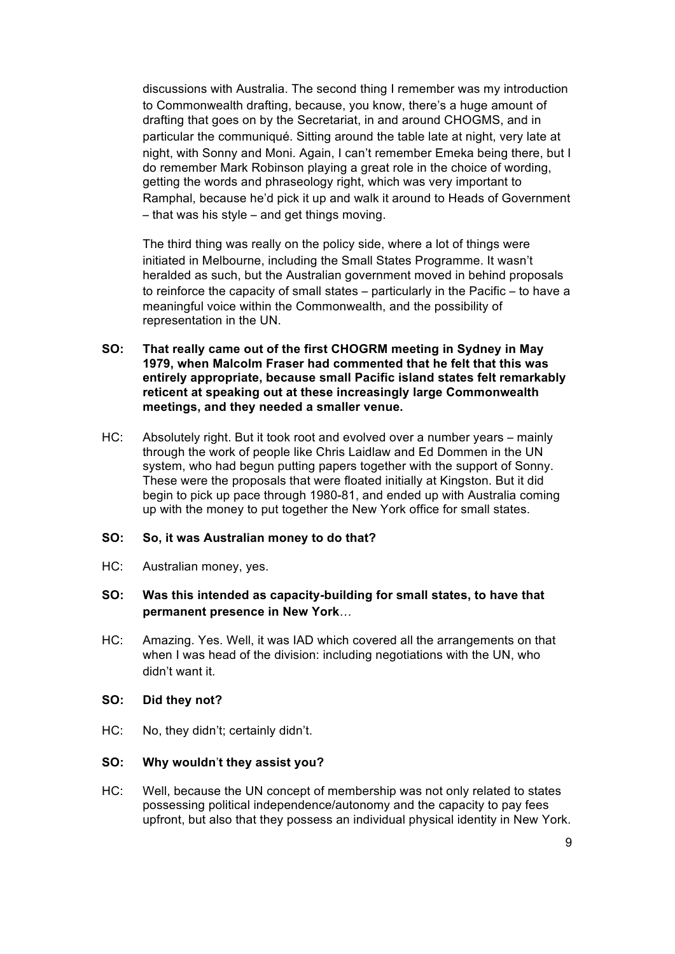discussions with Australia. The second thing I remember was my introduction to Commonwealth drafting, because, you know, there's a huge amount of drafting that goes on by the Secretariat, in and around CHOGMS, and in particular the communiqué. Sitting around the table late at night, very late at night, with Sonny and Moni. Again, I can't remember Emeka being there, but I do remember Mark Robinson playing a great role in the choice of wording, getting the words and phraseology right, which was very important to Ramphal, because he'd pick it up and walk it around to Heads of Government – that was his style – and get things moving.

The third thing was really on the policy side, where a lot of things were initiated in Melbourne, including the Small States Programme. It wasn't heralded as such, but the Australian government moved in behind proposals to reinforce the capacity of small states – particularly in the Pacific – to have a meaningful voice within the Commonwealth, and the possibility of representation in the UN.

- **SO: That really came out of the first CHOGRM meeting in Sydney in May 1979, when Malcolm Fraser had commented that he felt that this was entirely appropriate, because small Pacific island states felt remarkably reticent at speaking out at these increasingly large Commonwealth meetings, and they needed a smaller venue.**
- HC: Absolutely right. But it took root and evolved over a number years mainly through the work of people like Chris Laidlaw and Ed Dommen in the UN system, who had begun putting papers together with the support of Sonny. These were the proposals that were floated initially at Kingston. But it did begin to pick up pace through 1980-81, and ended up with Australia coming up with the money to put together the New York office for small states.

#### **SO: So, it was Australian money to do that?**

HC: Australian money, yes.

## **SO: Was this intended as capacity-building for small states, to have that permanent presence in New York**…

HC: Amazing. Yes. Well, it was IAD which covered all the arrangements on that when I was head of the division: including negotiations with the UN, who didn't want it.

#### **SO: Did they not?**

HC: No, they didn't; certainly didn't.

# **SO: Why wouldn**'**t they assist you?**

HC: Well, because the UN concept of membership was not only related to states possessing political independence/autonomy and the capacity to pay fees upfront, but also that they possess an individual physical identity in New York.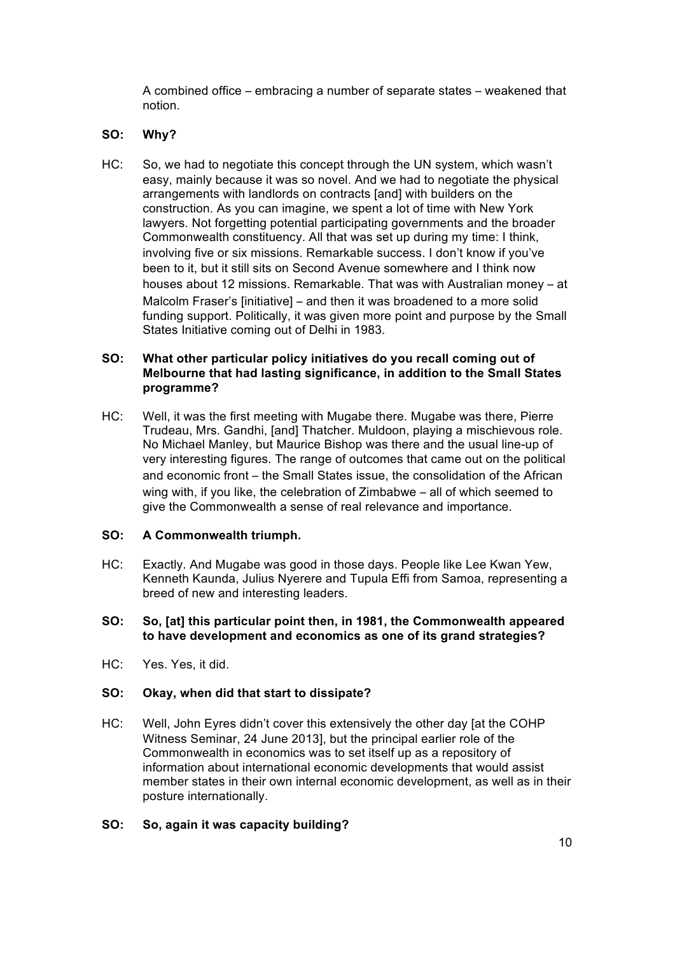A combined office – embracing a number of separate states – weakened that notion.

### **SO: Why?**

HC: So, we had to negotiate this concept through the UN system, which wasn't easy, mainly because it was so novel. And we had to negotiate the physical arrangements with landlords on contracts [and] with builders on the construction. As you can imagine, we spent a lot of time with New York lawyers. Not forgetting potential participating governments and the broader Commonwealth constituency. All that was set up during my time: I think, involving five or six missions. Remarkable success. I don't know if you've been to it, but it still sits on Second Avenue somewhere and I think now houses about 12 missions. Remarkable. That was with Australian money – at Malcolm Fraser's [initiative] – and then it was broadened to a more solid funding support. Politically, it was given more point and purpose by the Small States Initiative coming out of Delhi in 1983.

## **SO: What other particular policy initiatives do you recall coming out of Melbourne that had lasting significance, in addition to the Small States programme?**

HC: Well, it was the first meeting with Mugabe there. Mugabe was there, Pierre Trudeau, Mrs. Gandhi, [and] Thatcher. Muldoon, playing a mischievous role. No Michael Manley, but Maurice Bishop was there and the usual line-up of very interesting figures. The range of outcomes that came out on the political and economic front – the Small States issue, the consolidation of the African wing with, if you like, the celebration of Zimbabwe – all of which seemed to give the Commonwealth a sense of real relevance and importance.

## **SO: A Commonwealth triumph.**

HC: Exactly. And Mugabe was good in those days. People like Lee Kwan Yew, Kenneth Kaunda, Julius Nyerere and Tupula Effi from Samoa, representing a breed of new and interesting leaders.

### **SO: So, [at] this particular point then, in 1981, the Commonwealth appeared to have development and economics as one of its grand strategies?**

HC: Yes. Yes, it did.

## **SO: Okay, when did that start to dissipate?**

HC: Well, John Eyres didn't cover this extensively the other day [at the COHP Witness Seminar, 24 June 2013], but the principal earlier role of the Commonwealth in economics was to set itself up as a repository of information about international economic developments that would assist member states in their own internal economic development, as well as in their posture internationally.

# **SO: So, again it was capacity building?**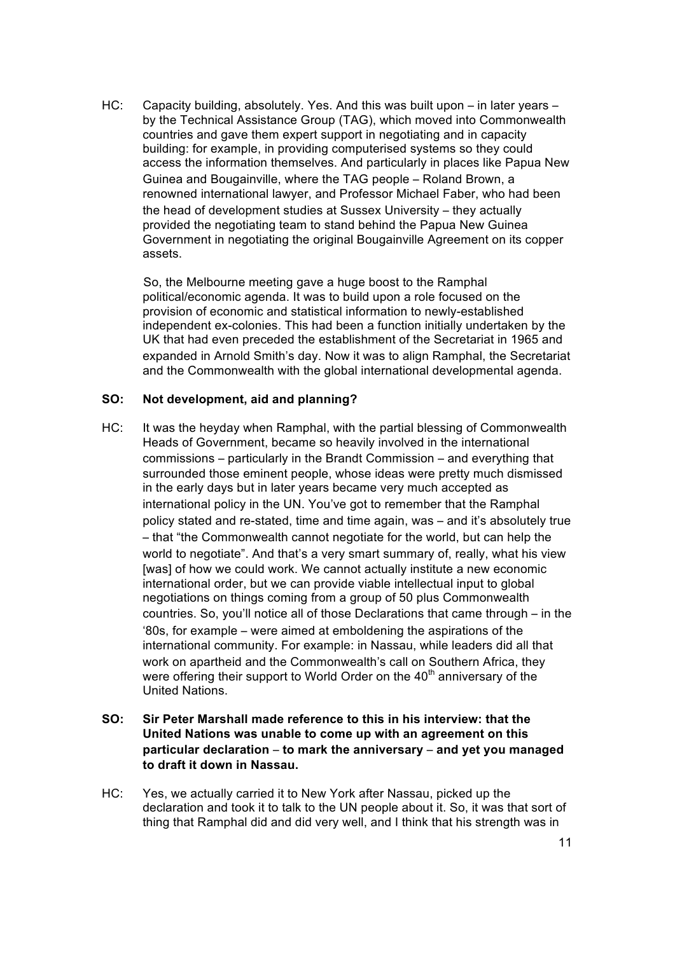HC: Capacity building, absolutely. Yes. And this was built upon – in later years – by the Technical Assistance Group (TAG), which moved into Commonwealth countries and gave them expert support in negotiating and in capacity building: for example, in providing computerised systems so they could access the information themselves. And particularly in places like Papua New Guinea and Bougainville, where the TAG people – Roland Brown, a renowned international lawyer, and Professor Michael Faber, who had been the head of development studies at Sussex University – they actually provided the negotiating team to stand behind the Papua New Guinea Government in negotiating the original Bougainville Agreement on its copper assets.

So, the Melbourne meeting gave a huge boost to the Ramphal political/economic agenda. It was to build upon a role focused on the provision of economic and statistical information to newly-established independent ex-colonies. This had been a function initially undertaken by the UK that had even preceded the establishment of the Secretariat in 1965 and expanded in Arnold Smith's day. Now it was to align Ramphal, the Secretariat and the Commonwealth with the global international developmental agenda.

### **SO: Not development, aid and planning?**

- HC: It was the heyday when Ramphal, with the partial blessing of Commonwealth Heads of Government, became so heavily involved in the international commissions – particularly in the Brandt Commission – and everything that surrounded those eminent people, whose ideas were pretty much dismissed in the early days but in later years became very much accepted as international policy in the UN. You've got to remember that the Ramphal policy stated and re-stated, time and time again, was – and it's absolutely true – that "the Commonwealth cannot negotiate for the world, but can help the world to negotiate". And that's a very smart summary of, really, what his view [was] of how we could work. We cannot actually institute a new economic international order, but we can provide viable intellectual input to global negotiations on things coming from a group of 50 plus Commonwealth countries. So, you'll notice all of those Declarations that came through – in the '80s, for example – were aimed at emboldening the aspirations of the international community. For example: in Nassau, while leaders did all that work on apartheid and the Commonwealth's call on Southern Africa, they were offering their support to World Order on the  $40<sup>th</sup>$  anniversary of the United Nations.
- **SO: Sir Peter Marshall made reference to this in his interview: that the United Nations was unable to come up with an agreement on this particular declaration** – **to mark the anniversary** – **and yet you managed to draft it down in Nassau.**
- HC: Yes, we actually carried it to New York after Nassau, picked up the declaration and took it to talk to the UN people about it. So, it was that sort of thing that Ramphal did and did very well, and I think that his strength was in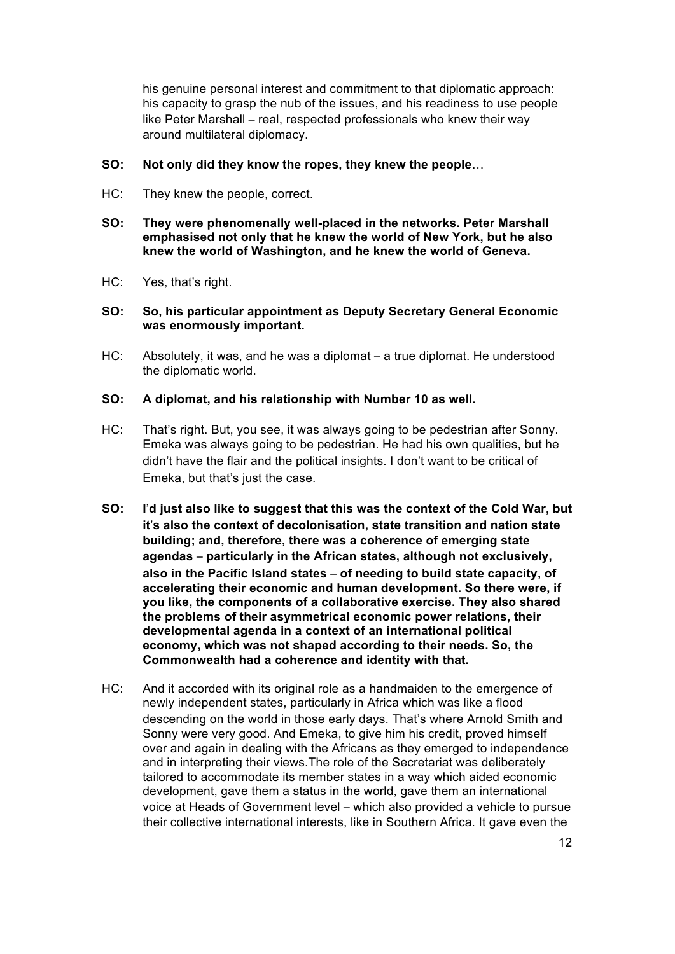his genuine personal interest and commitment to that diplomatic approach: his capacity to grasp the nub of the issues, and his readiness to use people like Peter Marshall – real, respected professionals who knew their way around multilateral diplomacy.

- **SO: Not only did they know the ropes, they knew the people**…
- HC: They knew the people, correct.
- **SO: They were phenomenally well-placed in the networks. Peter Marshall emphasised not only that he knew the world of New York, but he also knew the world of Washington, and he knew the world of Geneva.**
- HC: Yes, that's right.
- **SO: So, his particular appointment as Deputy Secretary General Economic was enormously important.**
- HC: Absolutely, it was, and he was a diplomat a true diplomat. He understood the diplomatic world.

### **SO: A diplomat, and his relationship with Number 10 as well.**

- HC: That's right. But, you see, it was always going to be pedestrian after Sonny. Emeka was always going to be pedestrian. He had his own qualities, but he didn't have the flair and the political insights. I don't want to be critical of Emeka, but that's just the case.
- **SO: I**'**d just also like to suggest that this was the context of the Cold War, but it**'**s also the context of decolonisation, state transition and nation state building; and, therefore, there was a coherence of emerging state agendas** – **particularly in the African states, although not exclusively, also in the Pacific Island states** – **of needing to build state capacity, of accelerating their economic and human development. So there were, if you like, the components of a collaborative exercise. They also shared the problems of their asymmetrical economic power relations, their developmental agenda in a context of an international political economy, which was not shaped according to their needs. So, the Commonwealth had a coherence and identity with that.**
- HC: And it accorded with its original role as a handmaiden to the emergence of newly independent states, particularly in Africa which was like a flood descending on the world in those early days. That's where Arnold Smith and Sonny were very good. And Emeka, to give him his credit, proved himself over and again in dealing with the Africans as they emerged to independence and in interpreting their views.The role of the Secretariat was deliberately tailored to accommodate its member states in a way which aided economic development, gave them a status in the world, gave them an international voice at Heads of Government level – which also provided a vehicle to pursue their collective international interests, like in Southern Africa. It gave even the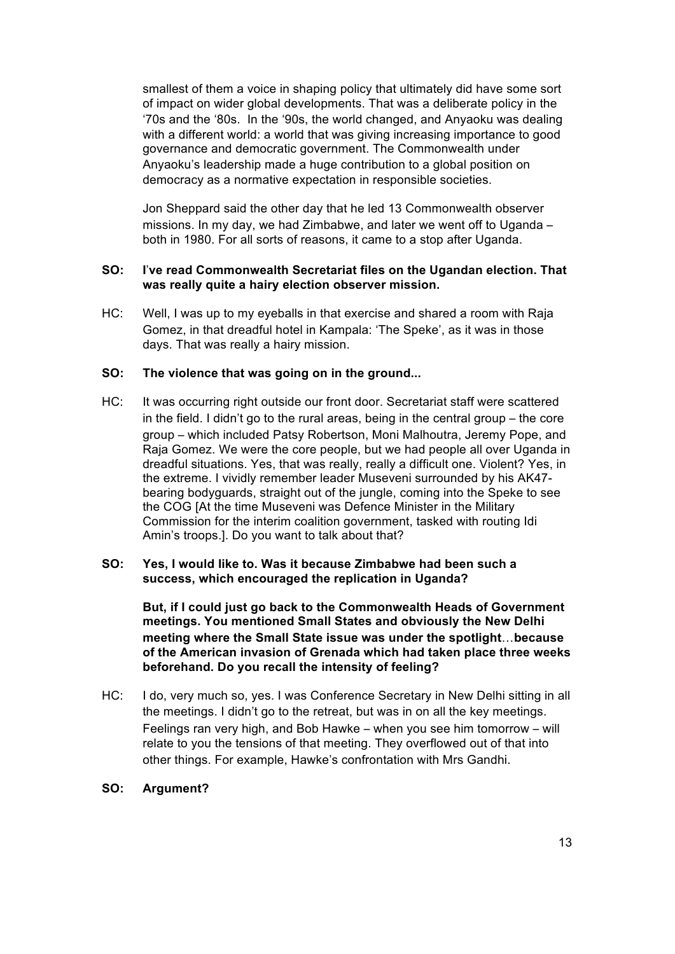smallest of them a voice in shaping policy that ultimately did have some sort of impact on wider global developments. That was a deliberate policy in the '70s and the '80s. In the '90s, the world changed, and Anyaoku was dealing with a different world: a world that was giving increasing importance to good governance and democratic government. The Commonwealth under Anyaoku's leadership made a huge contribution to a global position on democracy as a normative expectation in responsible societies.

Jon Sheppard said the other day that he led 13 Commonwealth observer missions. In my day, we had Zimbabwe, and later we went off to Uganda – both in 1980. For all sorts of reasons, it came to a stop after Uganda.

### **SO: I**'**ve read Commonwealth Secretariat files on the Ugandan election. That was really quite a hairy election observer mission.**

HC: Well, I was up to my eyeballs in that exercise and shared a room with Raja Gomez, in that dreadful hotel in Kampala: 'The Speke', as it was in those days. That was really a hairy mission.

### **SO: The violence that was going on in the ground...**

HC: It was occurring right outside our front door. Secretariat staff were scattered in the field. I didn't go to the rural areas, being in the central group – the core group – which included Patsy Robertson, Moni Malhoutra, Jeremy Pope, and Raja Gomez. We were the core people, but we had people all over Uganda in dreadful situations. Yes, that was really, really a difficult one. Violent? Yes, in the extreme. I vividly remember leader Museveni surrounded by his AK47 bearing bodyguards, straight out of the jungle, coming into the Speke to see the COG [At the time Museveni was Defence Minister in the Military Commission for the interim coalition government, tasked with routing Idi Amin's troops.]. Do you want to talk about that?

## **SO: Yes, I would like to. Was it because Zimbabwe had been such a success, which encouraged the replication in Uganda?**

**But, if I could just go back to the Commonwealth Heads of Government meetings. You mentioned Small States and obviously the New Delhi meeting where the Small State issue was under the spotlight**…**because of the American invasion of Grenada which had taken place three weeks beforehand. Do you recall the intensity of feeling?**

HC: I do, very much so, yes. I was Conference Secretary in New Delhi sitting in all the meetings. I didn't go to the retreat, but was in on all the key meetings. Feelings ran very high, and Bob Hawke – when you see him tomorrow – will relate to you the tensions of that meeting. They overflowed out of that into other things. For example, Hawke's confrontation with Mrs Gandhi.

#### **SO: Argument?**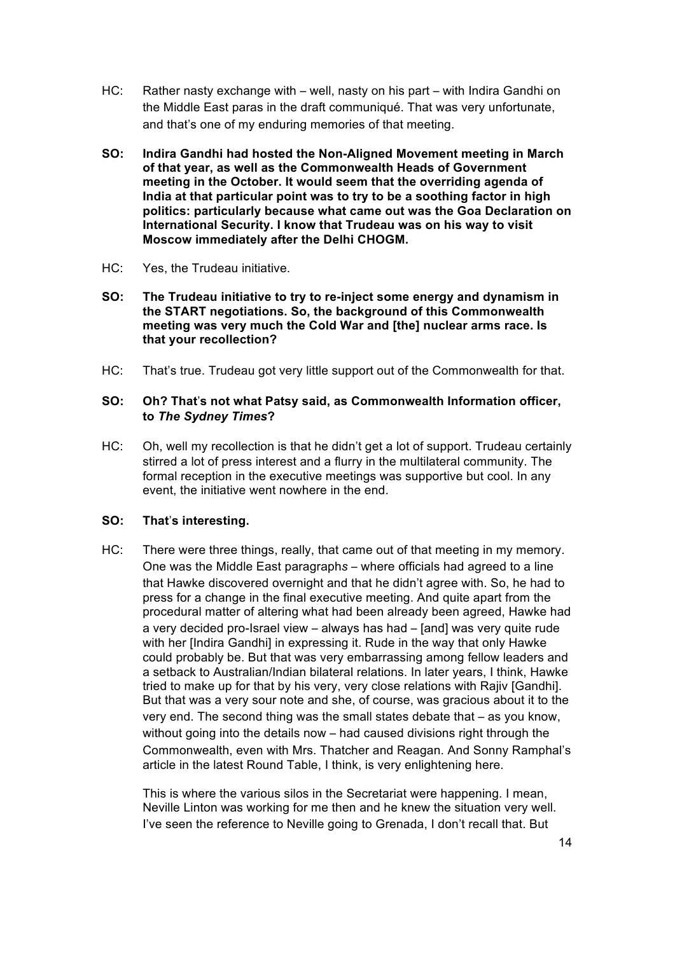- HC: Rather nasty exchange with well, nasty on his part with Indira Gandhi on the Middle East paras in the draft communiqué. That was very unfortunate, and that's one of my enduring memories of that meeting.
- **SO: Indira Gandhi had hosted the Non-Aligned Movement meeting in March of that year, as well as the Commonwealth Heads of Government meeting in the October. It would seem that the overriding agenda of India at that particular point was to try to be a soothing factor in high politics: particularly because what came out was the Goa Declaration on International Security. I know that Trudeau was on his way to visit Moscow immediately after the Delhi CHOGM.**
- HC: Yes, the Trudeau initiative.
- **SO: The Trudeau initiative to try to re-inject some energy and dynamism in the START negotiations. So, the background of this Commonwealth meeting was very much the Cold War and [the] nuclear arms race. Is that your recollection?**
- HC: That's true. Trudeau got very little support out of the Commonwealth for that.

### **SO: Oh? That**'**s not what Patsy said, as Commonwealth Information officer, to** *The Sydney Times***?**

HC: Oh, well my recollection is that he didn't get a lot of support. Trudeau certainly stirred a lot of press interest and a flurry in the multilateral community. The formal reception in the executive meetings was supportive but cool. In any event, the initiative went nowhere in the end.

#### **SO: That**'**s interesting.**

HC: There were three things, really, that came out of that meeting in my memory. One was the Middle East paragraph*s* – where officials had agreed to a line that Hawke discovered overnight and that he didn't agree with. So, he had to press for a change in the final executive meeting. And quite apart from the procedural matter of altering what had been already been agreed, Hawke had a very decided pro-Israel view – always has had – [and] was very quite rude with her [Indira Gandhi] in expressing it. Rude in the way that only Hawke could probably be. But that was very embarrassing among fellow leaders and a setback to Australian/Indian bilateral relations. In later years, I think, Hawke tried to make up for that by his very, very close relations with Rajiv [Gandhi]. But that was a very sour note and she, of course, was gracious about it to the very end. The second thing was the small states debate that – as you know, without going into the details now – had caused divisions right through the Commonwealth, even with Mrs. Thatcher and Reagan. And Sonny Ramphal's article in the latest Round Table, I think, is very enlightening here.

This is where the various silos in the Secretariat were happening. I mean, Neville Linton was working for me then and he knew the situation very well. I've seen the reference to Neville going to Grenada, I don't recall that. But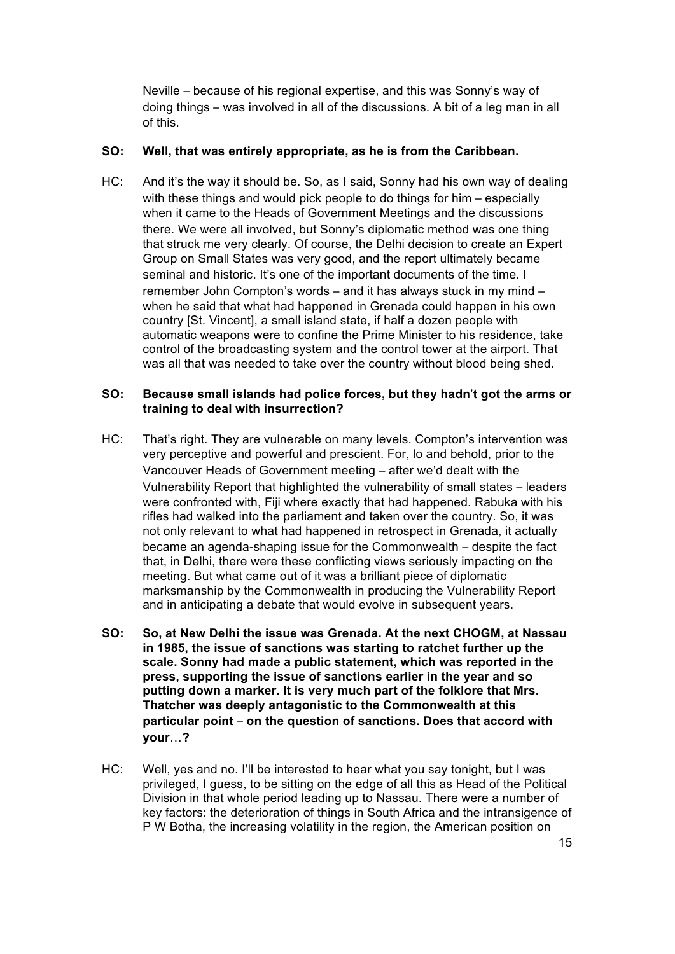Neville – because of his regional expertise, and this was Sonny's way of doing things – was involved in all of the discussions. A bit of a leg man in all of this.

### **SO: Well, that was entirely appropriate, as he is from the Caribbean.**

HC: And it's the way it should be. So, as I said, Sonny had his own way of dealing with these things and would pick people to do things for him – especially when it came to the Heads of Government Meetings and the discussions there. We were all involved, but Sonny's diplomatic method was one thing that struck me very clearly. Of course, the Delhi decision to create an Expert Group on Small States was very good, and the report ultimately became seminal and historic. It's one of the important documents of the time. I remember John Compton's words – and it has always stuck in my mind – when he said that what had happened in Grenada could happen in his own country [St. Vincent], a small island state, if half a dozen people with automatic weapons were to confine the Prime Minister to his residence, take control of the broadcasting system and the control tower at the airport. That was all that was needed to take over the country without blood being shed.

### **SO: Because small islands had police forces, but they hadn**'**t got the arms or training to deal with insurrection?**

- HC: That's right. They are vulnerable on many levels. Compton's intervention was very perceptive and powerful and prescient. For, lo and behold, prior to the Vancouver Heads of Government meeting – after we'd dealt with the Vulnerability Report that highlighted the vulnerability of small states – leaders were confronted with, Fiji where exactly that had happened. Rabuka with his rifles had walked into the parliament and taken over the country. So, it was not only relevant to what had happened in retrospect in Grenada, it actually became an agenda-shaping issue for the Commonwealth – despite the fact that, in Delhi, there were these conflicting views seriously impacting on the meeting. But what came out of it was a brilliant piece of diplomatic marksmanship by the Commonwealth in producing the Vulnerability Report and in anticipating a debate that would evolve in subsequent years.
- **SO: So, at New Delhi the issue was Grenada. At the next CHOGM, at Nassau in 1985, the issue of sanctions was starting to ratchet further up the scale. Sonny had made a public statement, which was reported in the press, supporting the issue of sanctions earlier in the year and so putting down a marker. It is very much part of the folklore that Mrs. Thatcher was deeply antagonistic to the Commonwealth at this particular point** – **on the question of sanctions. Does that accord with your**…**?**
- HC: Well, yes and no. I'll be interested to hear what you say tonight, but I was privileged, I guess, to be sitting on the edge of all this as Head of the Political Division in that whole period leading up to Nassau. There were a number of key factors: the deterioration of things in South Africa and the intransigence of P W Botha, the increasing volatility in the region, the American position on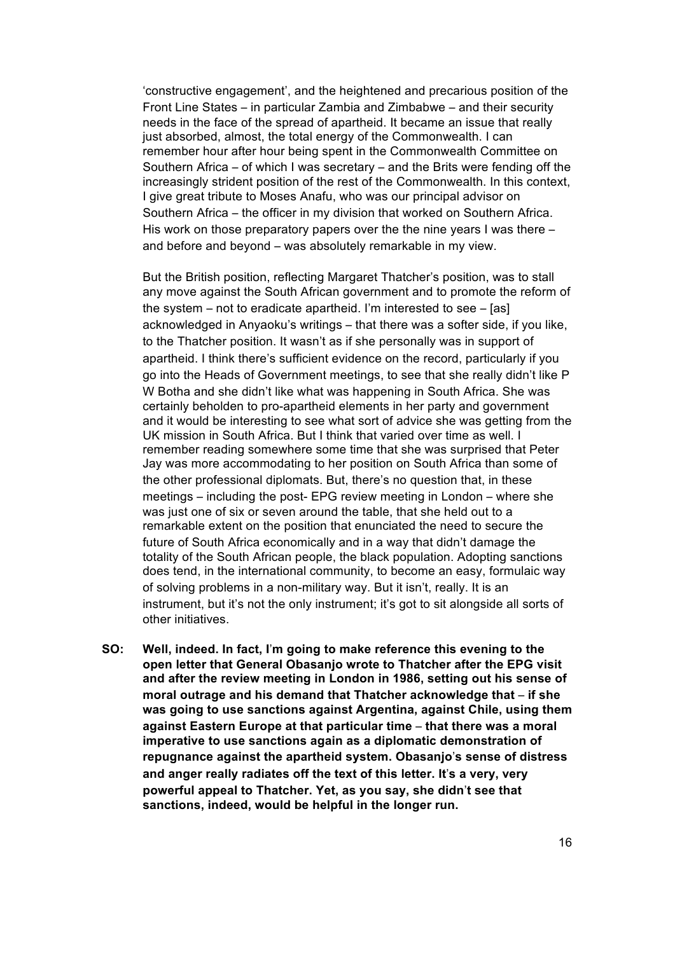'constructive engagement', and the heightened and precarious position of the Front Line States – in particular Zambia and Zimbabwe – and their security needs in the face of the spread of apartheid. It became an issue that really just absorbed, almost, the total energy of the Commonwealth. I can remember hour after hour being spent in the Commonwealth Committee on Southern Africa – of which I was secretary – and the Brits were fending off the increasingly strident position of the rest of the Commonwealth. In this context, I give great tribute to Moses Anafu, who was our principal advisor on Southern Africa – the officer in my division that worked on Southern Africa. His work on those preparatory papers over the the nine years I was there – and before and beyond – was absolutely remarkable in my view.

But the British position, reflecting Margaret Thatcher's position, was to stall any move against the South African government and to promote the reform of the system – not to eradicate apartheid. I'm interested to see – [as] acknowledged in Anyaoku's writings – that there was a softer side, if you like, to the Thatcher position. It wasn't as if she personally was in support of apartheid. I think there's sufficient evidence on the record, particularly if you go into the Heads of Government meetings, to see that she really didn't like P W Botha and she didn't like what was happening in South Africa. She was certainly beholden to pro-apartheid elements in her party and government and it would be interesting to see what sort of advice she was getting from the UK mission in South Africa. But I think that varied over time as well. I remember reading somewhere some time that she was surprised that Peter Jay was more accommodating to her position on South Africa than some of the other professional diplomats. But, there's no question that, in these meetings – including the post- EPG review meeting in London – where she was just one of six or seven around the table, that she held out to a remarkable extent on the position that enunciated the need to secure the future of South Africa economically and in a way that didn't damage the totality of the South African people, the black population. Adopting sanctions does tend, in the international community, to become an easy, formulaic way of solving problems in a non-military way. But it isn't, really. It is an instrument, but it's not the only instrument; it's got to sit alongside all sorts of other initiatives.

**SO: Well, indeed. In fact, I**'**m going to make reference this evening to the open letter that General Obasanjo wrote to Thatcher after the EPG visit and after the review meeting in London in 1986, setting out his sense of moral outrage and his demand that Thatcher acknowledge that** – **if she was going to use sanctions against Argentina, against Chile, using them against Eastern Europe at that particular time** – **that there was a moral imperative to use sanctions again as a diplomatic demonstration of repugnance against the apartheid system. Obasanjo**'**s sense of distress and anger really radiates off the text of this letter. It**'**s a very, very powerful appeal to Thatcher. Yet, as you say, she didn**'**t see that sanctions, indeed, would be helpful in the longer run.**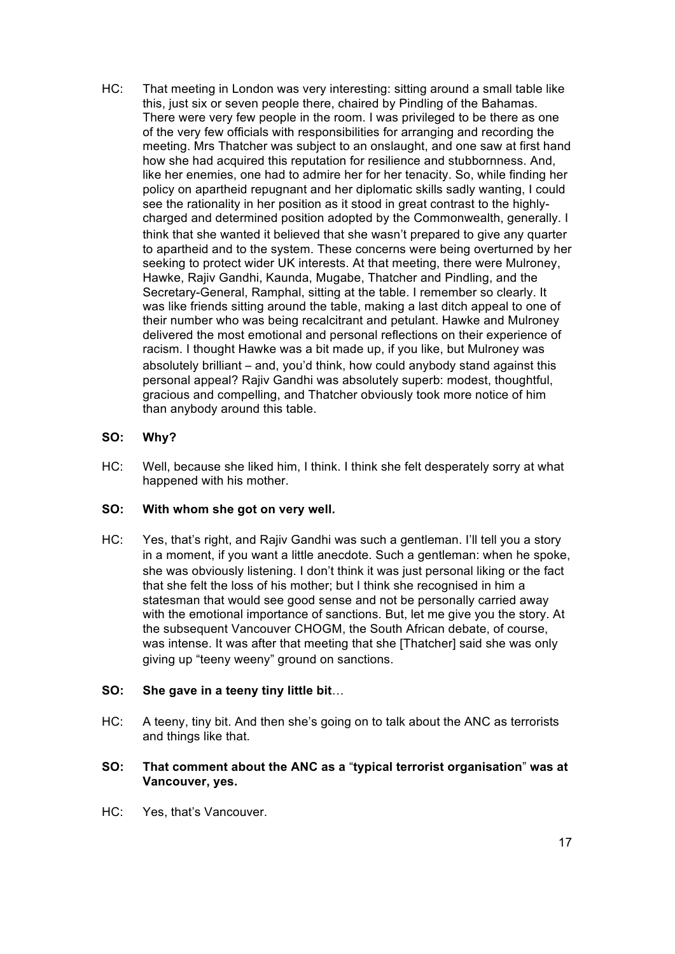HC: That meeting in London was very interesting: sitting around a small table like this, just six or seven people there, chaired by Pindling of the Bahamas. There were very few people in the room. I was privileged to be there as one of the very few officials with responsibilities for arranging and recording the meeting. Mrs Thatcher was subject to an onslaught, and one saw at first hand how she had acquired this reputation for resilience and stubbornness. And, like her enemies, one had to admire her for her tenacity. So, while finding her policy on apartheid repugnant and her diplomatic skills sadly wanting, I could see the rationality in her position as it stood in great contrast to the highlycharged and determined position adopted by the Commonwealth, generally. I think that she wanted it believed that she wasn't prepared to give any quarter to apartheid and to the system. These concerns were being overturned by her seeking to protect wider UK interests. At that meeting, there were Mulroney, Hawke, Rajiv Gandhi, Kaunda, Mugabe, Thatcher and Pindling, and the Secretary-General, Ramphal, sitting at the table. I remember so clearly. It was like friends sitting around the table, making a last ditch appeal to one of their number who was being recalcitrant and petulant. Hawke and Mulroney delivered the most emotional and personal reflections on their experience of racism. I thought Hawke was a bit made up, if you like, but Mulroney was absolutely brilliant – and, you'd think, how could anybody stand against this personal appeal? Rajiv Gandhi was absolutely superb: modest, thoughtful, gracious and compelling, and Thatcher obviously took more notice of him than anybody around this table.

# **SO: Why?**

HC: Well, because she liked him, I think. I think she felt desperately sorry at what happened with his mother.

## **SO: With whom she got on very well.**

HC: Yes, that's right, and Rajiv Gandhi was such a gentleman. I'll tell you a story in a moment, if you want a little anecdote. Such a gentleman: when he spoke, she was obviously listening. I don't think it was just personal liking or the fact that she felt the loss of his mother; but I think she recognised in him a statesman that would see good sense and not be personally carried away with the emotional importance of sanctions. But, let me give you the story. At the subsequent Vancouver CHOGM, the South African debate, of course, was intense. It was after that meeting that she [Thatcher] said she was only giving up "teeny weeny" ground on sanctions.

## **SO: She gave in a teeny tiny little bit**…

HC: A teeny, tiny bit. And then she's going on to talk about the ANC as terrorists and things like that.

# **SO: That comment about the ANC as a** "**typical terrorist organisation**" **was at Vancouver, yes.**

HC: Yes, that's Vancouver.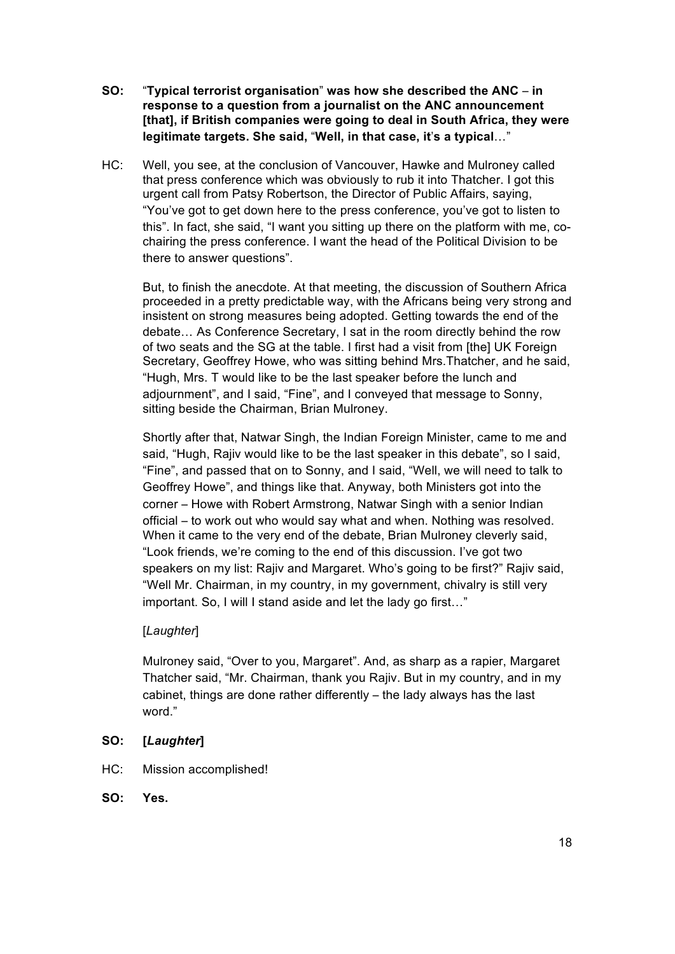- **SO:** "**Typical terrorist organisation**" **was how she described the ANC in response to a question from a journalist on the ANC announcement [that], if British companies were going to deal in South Africa, they were legitimate targets. She said,** "**Well, in that case, it**'**s a typical**…"
- HC: Well, you see, at the conclusion of Vancouver, Hawke and Mulroney called that press conference which was obviously to rub it into Thatcher. I got this urgent call from Patsy Robertson, the Director of Public Affairs, saying, "You've got to get down here to the press conference, you've got to listen to this". In fact, she said, "I want you sitting up there on the platform with me, cochairing the press conference. I want the head of the Political Division to be there to answer questions".

But, to finish the anecdote. At that meeting, the discussion of Southern Africa proceeded in a pretty predictable way, with the Africans being very strong and insistent on strong measures being adopted. Getting towards the end of the debate… As Conference Secretary, I sat in the room directly behind the row of two seats and the SG at the table. I first had a visit from [the] UK Foreign Secretary, Geoffrey Howe, who was sitting behind Mrs.Thatcher, and he said, "Hugh, Mrs. T would like to be the last speaker before the lunch and adjournment", and I said, "Fine", and I conveyed that message to Sonny, sitting beside the Chairman, Brian Mulroney.

Shortly after that, Natwar Singh, the Indian Foreign Minister, came to me and said, "Hugh, Rajiv would like to be the last speaker in this debate", so I said, "Fine", and passed that on to Sonny, and I said, "Well, we will need to talk to Geoffrey Howe", and things like that. Anyway, both Ministers got into the corner – Howe with Robert Armstrong, Natwar Singh with a senior Indian official – to work out who would say what and when. Nothing was resolved. When it came to the very end of the debate, Brian Mulroney cleverly said, "Look friends, we're coming to the end of this discussion. I've got two speakers on my list: Rajiv and Margaret. Who's going to be first?" Rajiv said, "Well Mr. Chairman, in my country, in my government, chivalry is still very important. So, I will I stand aside and let the lady go first…"

## [*Laughter*]

Mulroney said, "Over to you, Margaret". And, as sharp as a rapier, Margaret Thatcher said, "Mr. Chairman, thank you Rajiv. But in my country, and in my cabinet, things are done rather differently – the lady always has the last word."

# **SO: [***Laughter***]**

- HC: Mission accomplished!
- **SO: Yes.**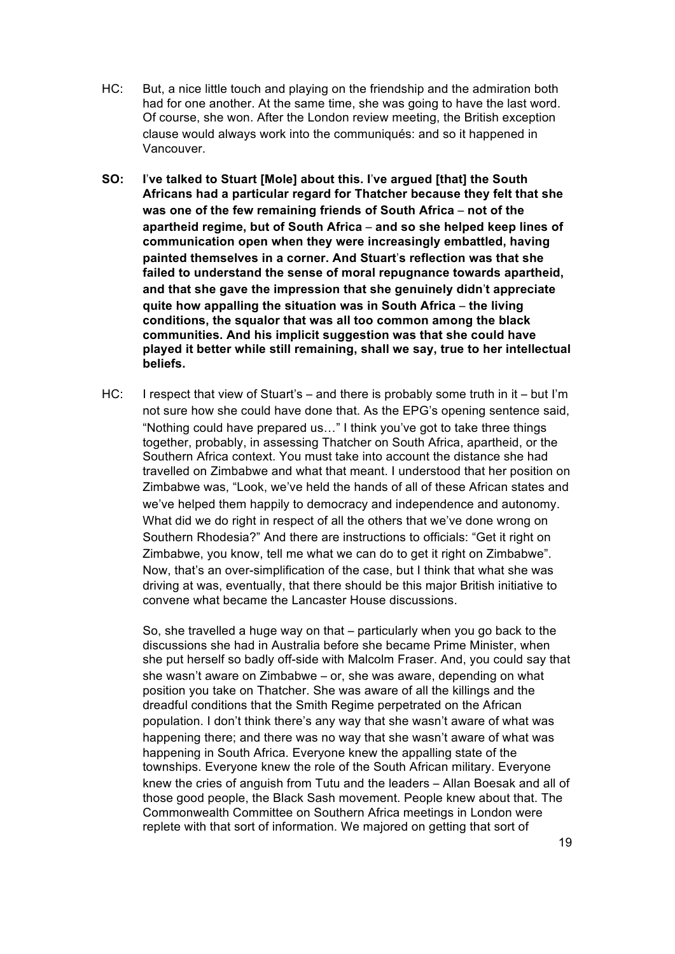- HC: But, a nice little touch and playing on the friendship and the admiration both had for one another. At the same time, she was going to have the last word. Of course, she won. After the London review meeting, the British exception clause would always work into the communiqués: and so it happened in Vancouver.
- **SO: I**'**ve talked to Stuart [Mole] about this. I**'**ve argued [that] the South Africans had a particular regard for Thatcher because they felt that she was one of the few remaining friends of South Africa** – **not of the apartheid regime, but of South Africa** – **and so she helped keep lines of communication open when they were increasingly embattled, having painted themselves in a corner. And Stuart**'**s reflection was that she failed to understand the sense of moral repugnance towards apartheid, and that she gave the impression that she genuinely didn**'**t appreciate quite how appalling the situation was in South Africa** – **the living conditions, the squalor that was all too common among the black communities. And his implicit suggestion was that she could have played it better while still remaining, shall we say, true to her intellectual beliefs.**
- HC: I respect that view of Stuart's and there is probably some truth in it but I'm not sure how she could have done that. As the EPG's opening sentence said, "Nothing could have prepared us…" I think you've got to take three things together, probably, in assessing Thatcher on South Africa, apartheid, or the Southern Africa context. You must take into account the distance she had travelled on Zimbabwe and what that meant. I understood that her position on Zimbabwe was, "Look, we've held the hands of all of these African states and we've helped them happily to democracy and independence and autonomy. What did we do right in respect of all the others that we've done wrong on Southern Rhodesia?" And there are instructions to officials: "Get it right on Zimbabwe, you know, tell me what we can do to get it right on Zimbabwe". Now, that's an over-simplification of the case, but I think that what she was driving at was, eventually, that there should be this major British initiative to convene what became the Lancaster House discussions.

So, she travelled a huge way on that – particularly when you go back to the discussions she had in Australia before she became Prime Minister, when she put herself so badly off-side with Malcolm Fraser. And, you could say that she wasn't aware on Zimbabwe – or, she was aware, depending on what position you take on Thatcher. She was aware of all the killings and the dreadful conditions that the Smith Regime perpetrated on the African population. I don't think there's any way that she wasn't aware of what was happening there; and there was no way that she wasn't aware of what was happening in South Africa. Everyone knew the appalling state of the townships. Everyone knew the role of the South African military. Everyone knew the cries of anguish from Tutu and the leaders – Allan Boesak and all of those good people, the Black Sash movement. People knew about that. The Commonwealth Committee on Southern Africa meetings in London were replete with that sort of information. We majored on getting that sort of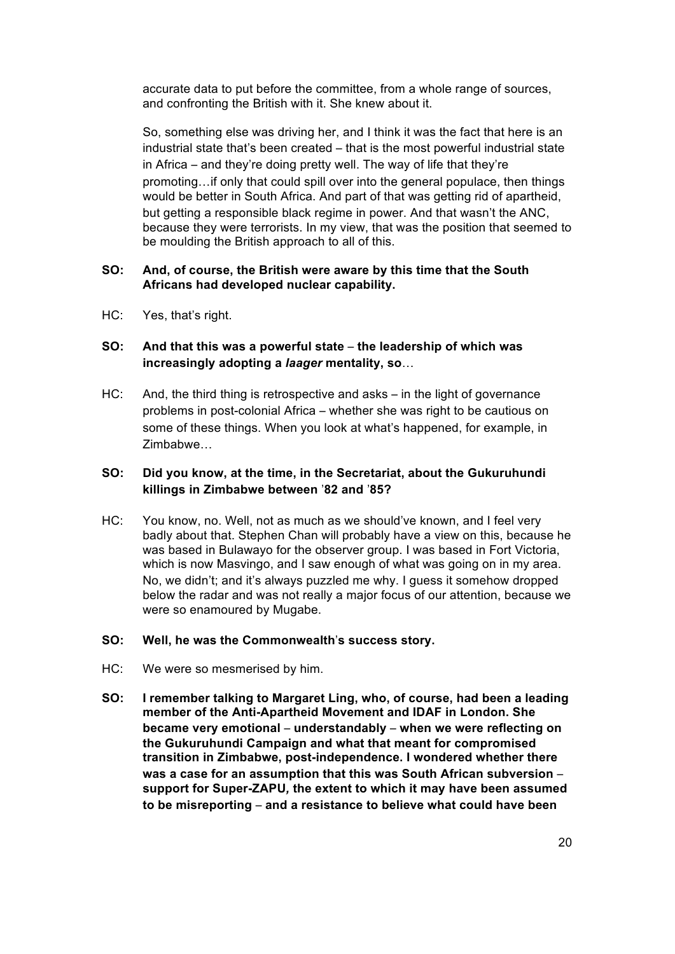accurate data to put before the committee, from a whole range of sources, and confronting the British with it. She knew about it.

So, something else was driving her, and I think it was the fact that here is an industrial state that's been created – that is the most powerful industrial state in Africa – and they're doing pretty well. The way of life that they're promoting…if only that could spill over into the general populace, then things would be better in South Africa. And part of that was getting rid of apartheid, but getting a responsible black regime in power. And that wasn't the ANC, because they were terrorists. In my view, that was the position that seemed to be moulding the British approach to all of this.

### **SO: And, of course, the British were aware by this time that the South Africans had developed nuclear capability.**

HC: Yes, that's right.

# **SO: And that this was a powerful state** – **the leadership of which was increasingly adopting a** *laager* **mentality, so**…

HC: And, the third thing is retrospective and asks – in the light of governance problems in post-colonial Africa – whether she was right to be cautious on some of these things. When you look at what's happened, for example, in Zimbabwe…

## **SO: Did you know, at the time, in the Secretariat, about the Gukuruhundi killings in Zimbabwe between** '**82 and** '**85?**

HC: You know, no. Well, not as much as we should've known, and I feel very badly about that. Stephen Chan will probably have a view on this, because he was based in Bulawayo for the observer group. I was based in Fort Victoria, which is now Masvingo, and I saw enough of what was going on in my area. No, we didn't; and it's always puzzled me why. I quess it somehow dropped below the radar and was not really a major focus of our attention, because we were so enamoured by Mugabe.

#### **SO: Well, he was the Commonwealth**'**s success story.**

- HC: We were so mesmerised by him.
- **SO: I remember talking to Margaret Ling, who, of course, had been a leading member of the Anti-Apartheid Movement and IDAF in London. She became very emotional** – **understandably** – **when we were reflecting on the Gukuruhundi Campaign and what that meant for compromised transition in Zimbabwe, post-independence. I wondered whether there was a case for an assumption that this was South African subversion** – **support for Super-ZAPU***,* **the extent to which it may have been assumed to be misreporting** – **and a resistance to believe what could have been**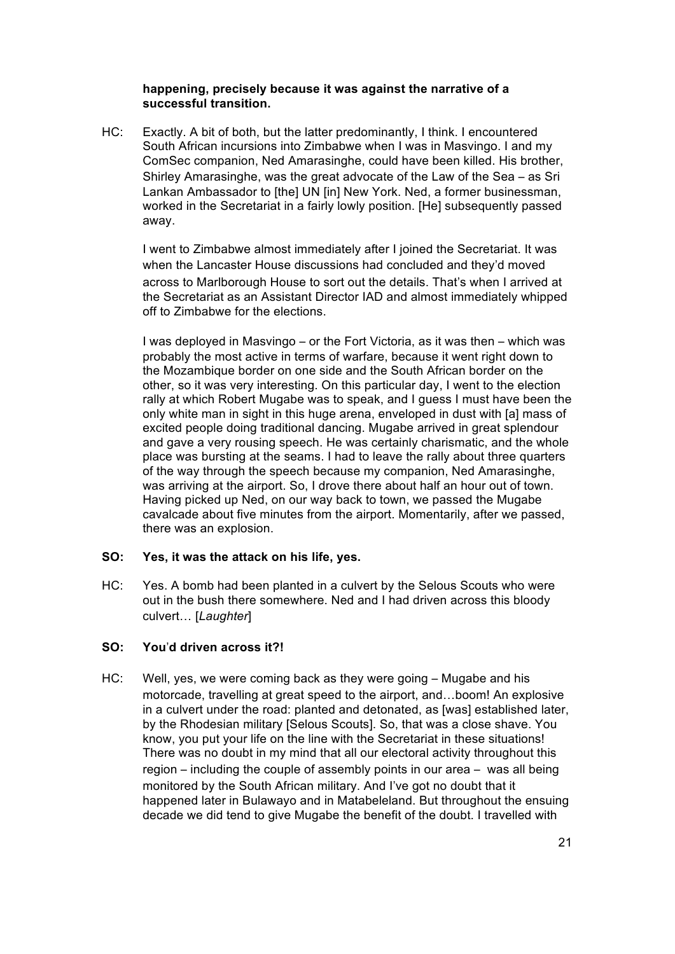### **happening, precisely because it was against the narrative of a successful transition.**

HC: Exactly. A bit of both, but the latter predominantly, I think. I encountered South African incursions into Zimbabwe when I was in Masvingo. I and my ComSec companion, Ned Amarasinghe, could have been killed. His brother, Shirley Amarasinghe, was the great advocate of the Law of the Sea – as Sri Lankan Ambassador to [the] UN [in] New York. Ned, a former businessman, worked in the Secretariat in a fairly lowly position. [He] subsequently passed away.

I went to Zimbabwe almost immediately after I joined the Secretariat. It was when the Lancaster House discussions had concluded and they'd moved across to Marlborough House to sort out the details. That's when I arrived at the Secretariat as an Assistant Director IAD and almost immediately whipped off to Zimbabwe for the elections.

I was deployed in Masvingo – or the Fort Victoria, as it was then – which was probably the most active in terms of warfare, because it went right down to the Mozambique border on one side and the South African border on the other, so it was very interesting. On this particular day, I went to the election rally at which Robert Mugabe was to speak, and I guess I must have been the only white man in sight in this huge arena, enveloped in dust with [a] mass of excited people doing traditional dancing. Mugabe arrived in great splendour and gave a very rousing speech. He was certainly charismatic, and the whole place was bursting at the seams. I had to leave the rally about three quarters of the way through the speech because my companion, Ned Amarasinghe, was arriving at the airport. So, I drove there about half an hour out of town. Having picked up Ned, on our way back to town, we passed the Mugabe cavalcade about five minutes from the airport. Momentarily, after we passed, there was an explosion.

## **SO: Yes, it was the attack on his life, yes.**

HC: Yes. A bomb had been planted in a culvert by the Selous Scouts who were out in the bush there somewhere. Ned and I had driven across this bloody culvert… [*Laughter*]

## **SO: You**'**d driven across it?!**

HC: Well, yes, we were coming back as they were going – Mugabe and his motorcade, travelling at great speed to the airport, and…boom! An explosive in a culvert under the road: planted and detonated, as [was] established later, by the Rhodesian military [Selous Scouts]. So, that was a close shave. You know, you put your life on the line with the Secretariat in these situations! There was no doubt in my mind that all our electoral activity throughout this region – including the couple of assembly points in our area – was all being monitored by the South African military. And I've got no doubt that it happened later in Bulawayo and in Matabeleland. But throughout the ensuing decade we did tend to give Mugabe the benefit of the doubt. I travelled with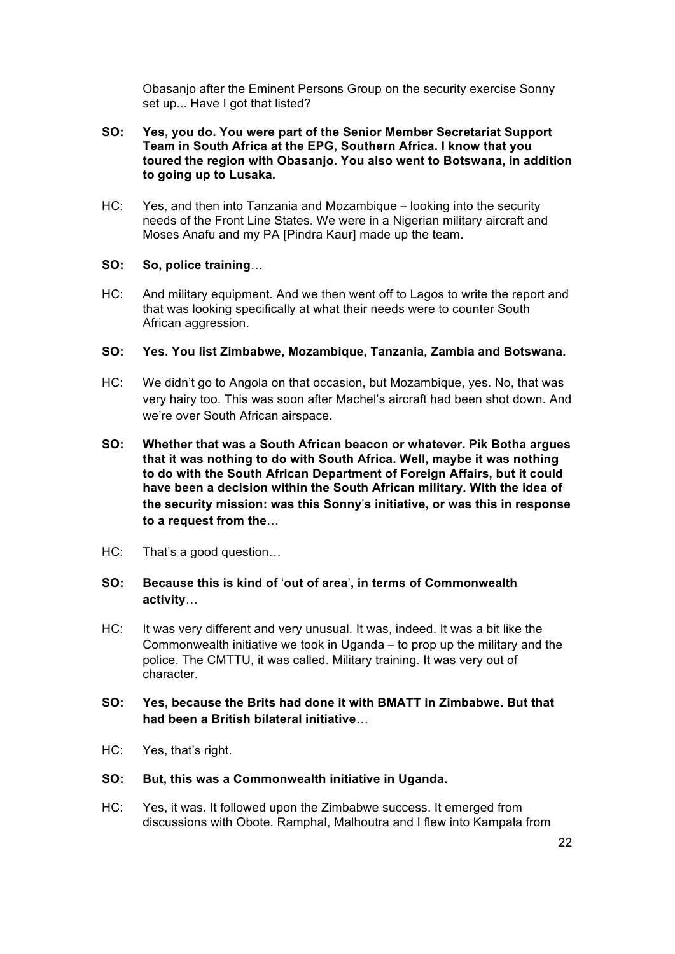Obasanjo after the Eminent Persons Group on the security exercise Sonny set up... Have I got that listed?

- **SO: Yes, you do. You were part of the Senior Member Secretariat Support Team in South Africa at the EPG, Southern Africa. I know that you toured the region with Obasanjo. You also went to Botswana, in addition to going up to Lusaka.**
- HC: Yes, and then into Tanzania and Mozambique looking into the security needs of the Front Line States. We were in a Nigerian military aircraft and Moses Anafu and my PA [Pindra Kaur] made up the team.

### **SO: So, police training**…

HC: And military equipment. And we then went off to Lagos to write the report and that was looking specifically at what their needs were to counter South African aggression.

### **SO: Yes. You list Zimbabwe, Mozambique, Tanzania, Zambia and Botswana.**

- HC: We didn't go to Angola on that occasion, but Mozambique, yes. No, that was very hairy too. This was soon after Machel's aircraft had been shot down. And we're over South African airspace.
- **SO: Whether that was a South African beacon or whatever. Pik Botha argues that it was nothing to do with South Africa. Well, maybe it was nothing to do with the South African Department of Foreign Affairs, but it could have been a decision within the South African military. With the idea of the security mission: was this Sonny**'**s initiative, or was this in response to a request from the**…
- HC: That's a good question…

# **SO: Because this is kind of** '**out of area**'**, in terms of Commonwealth activity**…

HC: It was very different and very unusual. It was, indeed. It was a bit like the Commonwealth initiative we took in Uganda – to prop up the military and the police. The CMTTU, it was called. Military training. It was very out of character.

# **SO: Yes, because the Brits had done it with BMATT in Zimbabwe. But that had been a British bilateral initiative**…

HC: Yes, that's right.

#### **SO: But, this was a Commonwealth initiative in Uganda.**

HC: Yes, it was. It followed upon the Zimbabwe success. It emerged from discussions with Obote. Ramphal, Malhoutra and I flew into Kampala from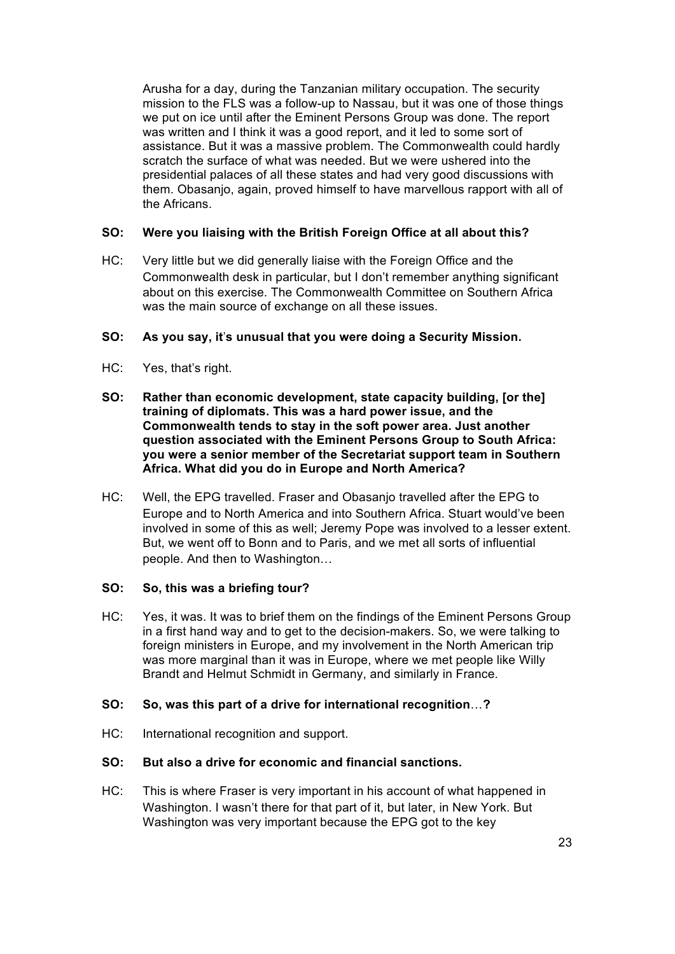Arusha for a day, during the Tanzanian military occupation. The security mission to the FLS was a follow-up to Nassau, but it was one of those things we put on ice until after the Eminent Persons Group was done. The report was written and I think it was a good report, and it led to some sort of assistance. But it was a massive problem. The Commonwealth could hardly scratch the surface of what was needed. But we were ushered into the presidential palaces of all these states and had very good discussions with them. Obasanjo, again, proved himself to have marvellous rapport with all of the Africans.

# **SO: Were you liaising with the British Foreign Office at all about this?**

HC: Very little but we did generally liaise with the Foreign Office and the Commonwealth desk in particular, but I don't remember anything significant about on this exercise. The Commonwealth Committee on Southern Africa was the main source of exchange on all these issues.

## **SO: As you say, it**'**s unusual that you were doing a Security Mission.**

- HC: Yes, that's right.
- **SO: Rather than economic development, state capacity building, [or the] training of diplomats. This was a hard power issue, and the Commonwealth tends to stay in the soft power area. Just another question associated with the Eminent Persons Group to South Africa: you were a senior member of the Secretariat support team in Southern Africa. What did you do in Europe and North America?**
- HC: Well, the EPG travelled. Fraser and Obasanjo travelled after the EPG to Europe and to North America and into Southern Africa. Stuart would've been involved in some of this as well; Jeremy Pope was involved to a lesser extent. But, we went off to Bonn and to Paris, and we met all sorts of influential people. And then to Washington…

## **SO: So, this was a briefing tour?**

HC: Yes, it was. It was to brief them on the findings of the Eminent Persons Group in a first hand way and to get to the decision-makers. So, we were talking to foreign ministers in Europe, and my involvement in the North American trip was more marginal than it was in Europe, where we met people like Willy Brandt and Helmut Schmidt in Germany, and similarly in France.

## **SO: So, was this part of a drive for international recognition**…**?**

HC: International recognition and support.

# **SO: But also a drive for economic and financial sanctions.**

HC: This is where Fraser is very important in his account of what happened in Washington. I wasn't there for that part of it, but later, in New York. But Washington was very important because the EPG got to the key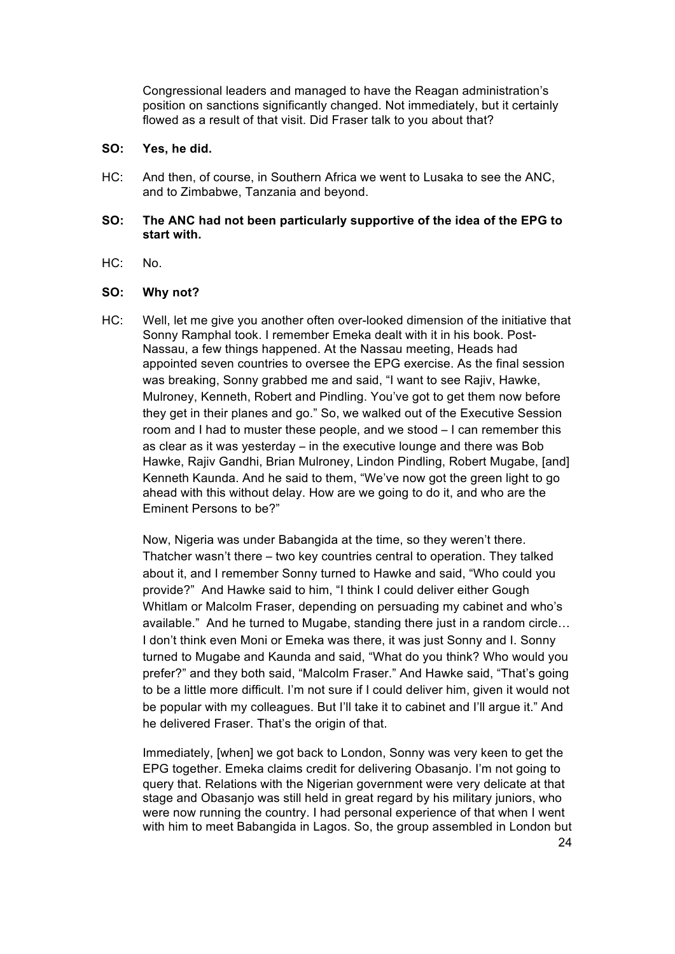Congressional leaders and managed to have the Reagan administration's position on sanctions significantly changed. Not immediately, but it certainly flowed as a result of that visit. Did Fraser talk to you about that?

## **SO: Yes, he did.**

HC: And then, of course, in Southern Africa we went to Lusaka to see the ANC, and to Zimbabwe, Tanzania and beyond.

## **SO: The ANC had not been particularly supportive of the idea of the EPG to start with.**

HC: No.

### **SO: Why not?**

HC: Well, let me give you another often over-looked dimension of the initiative that Sonny Ramphal took. I remember Emeka dealt with it in his book. Post-Nassau, a few things happened. At the Nassau meeting, Heads had appointed seven countries to oversee the EPG exercise. As the final session was breaking, Sonny grabbed me and said, "I want to see Rajiv, Hawke, Mulroney, Kenneth, Robert and Pindling. You've got to get them now before they get in their planes and go." So, we walked out of the Executive Session room and I had to muster these people, and we stood – I can remember this as clear as it was yesterday – in the executive lounge and there was Bob Hawke, Rajiv Gandhi, Brian Mulroney, Lindon Pindling, Robert Mugabe, [and] Kenneth Kaunda. And he said to them, "We've now got the green light to go ahead with this without delay. How are we going to do it, and who are the Eminent Persons to be?"

Now, Nigeria was under Babangida at the time, so they weren't there. Thatcher wasn't there – two key countries central to operation. They talked about it, and I remember Sonny turned to Hawke and said, "Who could you provide?" And Hawke said to him, "I think I could deliver either Gough Whitlam or Malcolm Fraser, depending on persuading my cabinet and who's available." And he turned to Mugabe, standing there just in a random circle… I don't think even Moni or Emeka was there, it was just Sonny and I. Sonny turned to Mugabe and Kaunda and said, "What do you think? Who would you prefer?" and they both said, "Malcolm Fraser." And Hawke said, "That's going to be a little more difficult. I'm not sure if I could deliver him, given it would not be popular with my colleagues. But I'll take it to cabinet and I'll argue it." And he delivered Fraser. That's the origin of that.

Immediately, [when] we got back to London, Sonny was very keen to get the EPG together. Emeka claims credit for delivering Obasanjo. I'm not going to query that. Relations with the Nigerian government were very delicate at that stage and Obasanjo was still held in great regard by his military juniors, who were now running the country. I had personal experience of that when I went with him to meet Babangida in Lagos. So, the group assembled in London but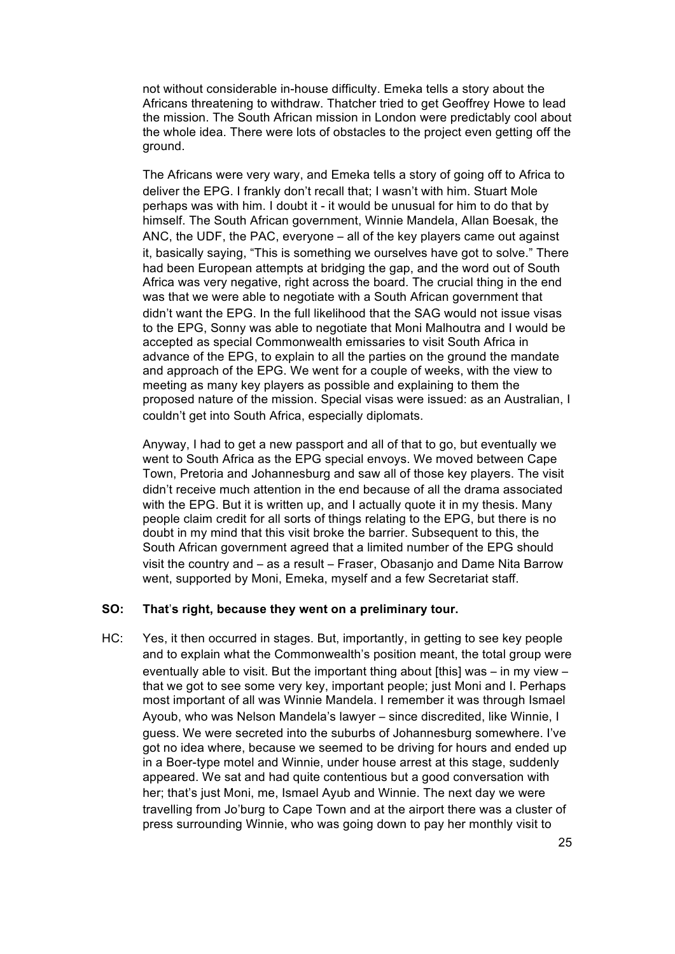not without considerable in-house difficulty. Emeka tells a story about the Africans threatening to withdraw. Thatcher tried to get Geoffrey Howe to lead the mission. The South African mission in London were predictably cool about the whole idea. There were lots of obstacles to the project even getting off the ground.

The Africans were very wary, and Emeka tells a story of going off to Africa to deliver the EPG. I frankly don't recall that; I wasn't with him. Stuart Mole perhaps was with him. I doubt it - it would be unusual for him to do that by himself. The South African government, Winnie Mandela, Allan Boesak, the ANC, the UDF, the PAC, everyone – all of the key players came out against it, basically saying, "This is something we ourselves have got to solve." There had been European attempts at bridging the gap, and the word out of South Africa was very negative, right across the board. The crucial thing in the end was that we were able to negotiate with a South African government that didn't want the EPG. In the full likelihood that the SAG would not issue visas to the EPG, Sonny was able to negotiate that Moni Malhoutra and I would be accepted as special Commonwealth emissaries to visit South Africa in advance of the EPG, to explain to all the parties on the ground the mandate and approach of the EPG. We went for a couple of weeks, with the view to meeting as many key players as possible and explaining to them the proposed nature of the mission. Special visas were issued: as an Australian, I couldn't get into South Africa, especially diplomats.

Anyway, I had to get a new passport and all of that to go, but eventually we went to South Africa as the EPG special envoys. We moved between Cape Town, Pretoria and Johannesburg and saw all of those key players. The visit didn't receive much attention in the end because of all the drama associated with the EPG. But it is written up, and I actually quote it in my thesis. Many people claim credit for all sorts of things relating to the EPG, but there is no doubt in my mind that this visit broke the barrier. Subsequent to this, the South African government agreed that a limited number of the EPG should visit the country and – as a result – Fraser, Obasanjo and Dame Nita Barrow went, supported by Moni, Emeka, myself and a few Secretariat staff.

### **SO: That**'**s right, because they went on a preliminary tour.**

HC: Yes, it then occurred in stages. But, importantly, in getting to see key people and to explain what the Commonwealth's position meant, the total group were eventually able to visit. But the important thing about [this] was – in my view – that we got to see some very key, important people; just Moni and I. Perhaps most important of all was Winnie Mandela. I remember it was through Ismael Ayoub, who was Nelson Mandela's lawyer – since discredited, like Winnie, I guess. We were secreted into the suburbs of Johannesburg somewhere. I've got no idea where, because we seemed to be driving for hours and ended up in a Boer-type motel and Winnie, under house arrest at this stage, suddenly appeared. We sat and had quite contentious but a good conversation with her; that's just Moni, me, Ismael Ayub and Winnie. The next day we were travelling from Jo'burg to Cape Town and at the airport there was a cluster of press surrounding Winnie, who was going down to pay her monthly visit to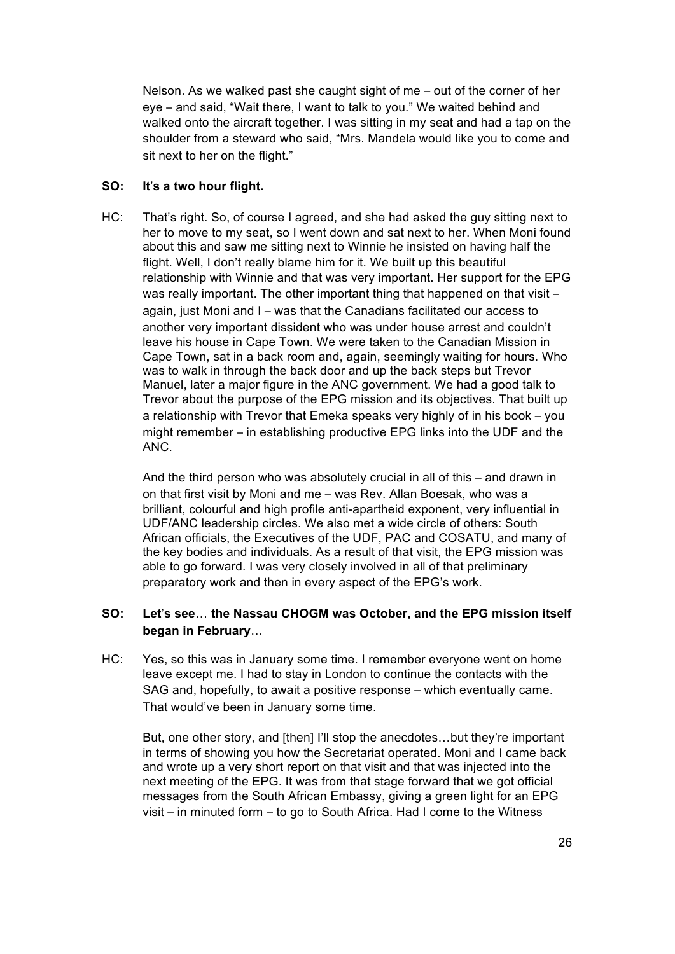Nelson. As we walked past she caught sight of me – out of the corner of her eye – and said, "Wait there, I want to talk to you." We waited behind and walked onto the aircraft together. I was sitting in my seat and had a tap on the shoulder from a steward who said, "Mrs. Mandela would like you to come and sit next to her on the flight."

## **SO: It**'**s a two hour flight.**

HC: That's right. So, of course I agreed, and she had asked the guy sitting next to her to move to my seat, so I went down and sat next to her. When Moni found about this and saw me sitting next to Winnie he insisted on having half the flight. Well, I don't really blame him for it. We built up this beautiful relationship with Winnie and that was very important. Her support for the EPG was really important. The other important thing that happened on that visit – again, just Moni and I – was that the Canadians facilitated our access to another very important dissident who was under house arrest and couldn't leave his house in Cape Town. We were taken to the Canadian Mission in Cape Town, sat in a back room and, again, seemingly waiting for hours. Who was to walk in through the back door and up the back steps but Trevor Manuel, later a major figure in the ANC government. We had a good talk to Trevor about the purpose of the EPG mission and its objectives. That built up a relationship with Trevor that Emeka speaks very highly of in his book – you might remember – in establishing productive EPG links into the UDF and the ANC.

And the third person who was absolutely crucial in all of this – and drawn in on that first visit by Moni and me – was Rev. Allan Boesak, who was a brilliant, colourful and high profile anti-apartheid exponent, very influential in UDF/ANC leadership circles. We also met a wide circle of others: South African officials, the Executives of the UDF, PAC and COSATU, and many of the key bodies and individuals. As a result of that visit, the EPG mission was able to go forward. I was very closely involved in all of that preliminary preparatory work and then in every aspect of the EPG's work.

## **SO: Let**'**s see**… **the Nassau CHOGM was October, and the EPG mission itself began in February**…

HC: Yes, so this was in January some time. I remember everyone went on home leave except me. I had to stay in London to continue the contacts with the SAG and, hopefully, to await a positive response – which eventually came. That would've been in January some time.

But, one other story, and [then] I'll stop the anecdotes...but they're important in terms of showing you how the Secretariat operated. Moni and I came back and wrote up a very short report on that visit and that was injected into the next meeting of the EPG. It was from that stage forward that we got official messages from the South African Embassy, giving a green light for an EPG visit – in minuted form – to go to South Africa. Had I come to the Witness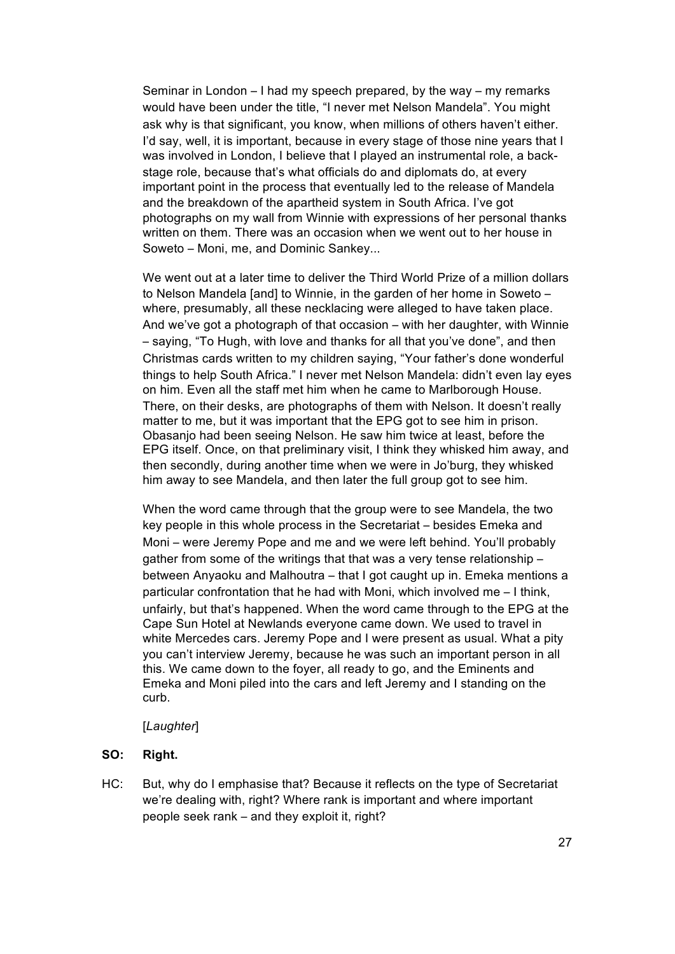Seminar in London – I had my speech prepared, by the way – my remarks would have been under the title, "I never met Nelson Mandela". You might ask why is that significant, you know, when millions of others haven't either. I'd say, well, it is important, because in every stage of those nine years that I was involved in London, I believe that I played an instrumental role, a backstage role, because that's what officials do and diplomats do, at every important point in the process that eventually led to the release of Mandela and the breakdown of the apartheid system in South Africa. I've got photographs on my wall from Winnie with expressions of her personal thanks written on them. There was an occasion when we went out to her house in Soweto – Moni, me, and Dominic Sankey...

We went out at a later time to deliver the Third World Prize of a million dollars to Nelson Mandela [and] to Winnie, in the garden of her home in Soweto – where, presumably, all these necklacing were alleged to have taken place. And we've got a photograph of that occasion – with her daughter, with Winnie – saying, "To Hugh, with love and thanks for all that you've done", and then Christmas cards written to my children saying, "Your father's done wonderful things to help South Africa." I never met Nelson Mandela: didn't even lay eyes on him. Even all the staff met him when he came to Marlborough House. There, on their desks, are photographs of them with Nelson. It doesn't really matter to me, but it was important that the EPG got to see him in prison. Obasanjo had been seeing Nelson. He saw him twice at least, before the EPG itself. Once, on that preliminary visit, I think they whisked him away, and then secondly, during another time when we were in Jo'burg, they whisked him away to see Mandela, and then later the full group got to see him.

When the word came through that the group were to see Mandela, the two key people in this whole process in the Secretariat – besides Emeka and Moni – were Jeremy Pope and me and we were left behind. You'll probably gather from some of the writings that that was a very tense relationship – between Anyaoku and Malhoutra – that I got caught up in. Emeka mentions a particular confrontation that he had with Moni, which involved me – I think, unfairly, but that's happened. When the word came through to the EPG at the Cape Sun Hotel at Newlands everyone came down. We used to travel in white Mercedes cars. Jeremy Pope and I were present as usual. What a pity you can't interview Jeremy, because he was such an important person in all this. We came down to the foyer, all ready to go, and the Eminents and Emeka and Moni piled into the cars and left Jeremy and I standing on the curb.

#### [*Laughter*]

## **SO: Right.**

HC: But, why do I emphasise that? Because it reflects on the type of Secretariat we're dealing with, right? Where rank is important and where important people seek rank – and they exploit it, right?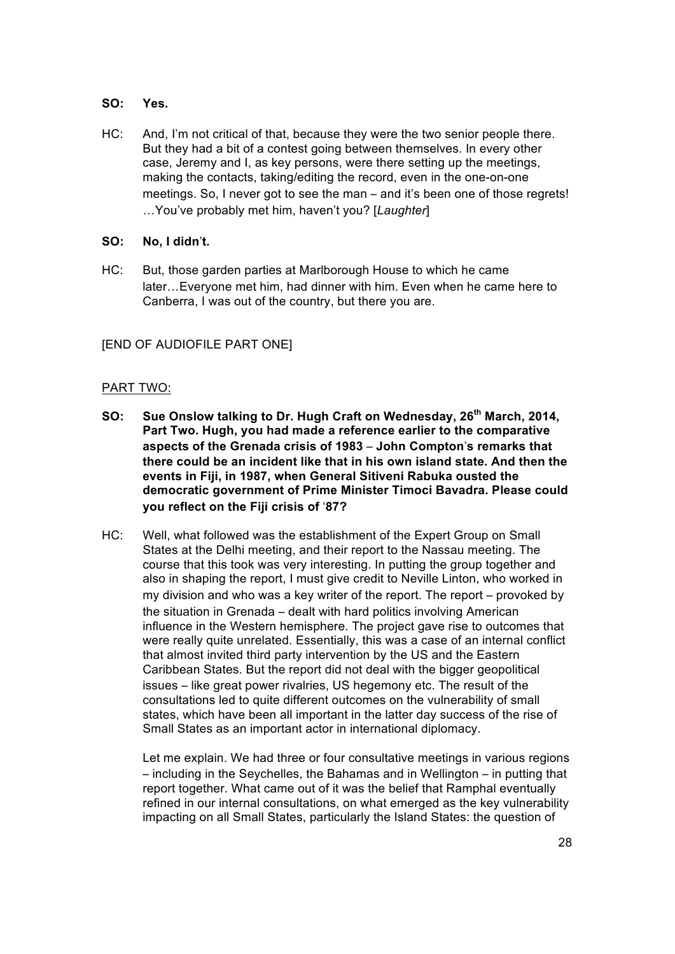## **SO: Yes.**

HC: And, I'm not critical of that, because they were the two senior people there. But they had a bit of a contest going between themselves. In every other case, Jeremy and I, as key persons, were there setting up the meetings, making the contacts, taking/editing the record, even in the one-on-one meetings. So, I never got to see the man – and it's been one of those regrets! …You've probably met him, haven't you? [*Laughter*]

### **SO: No, I didn**'**t.**

HC: But, those garden parties at Marlborough House to which he came later…Everyone met him, had dinner with him. Even when he came here to Canberra, I was out of the country, but there you are.

## [END OF AUDIOFILE PART ONE]

### PART TWO:

- **SO: Sue Onslow talking to Dr. Hugh Craft on Wednesday, 26th March, 2014, Part Two. Hugh, you had made a reference earlier to the comparative aspects of the Grenada crisis of 1983** – **John Compton**'**s remarks that there could be an incident like that in his own island state. And then the events in Fiji, in 1987, when General Sitiveni Rabuka ousted the democratic government of Prime Minister Timoci Bavadra. Please could you reflect on the Fiji crisis of** '**87?**
- HC: Well, what followed was the establishment of the Expert Group on Small States at the Delhi meeting, and their report to the Nassau meeting. The course that this took was very interesting. In putting the group together and also in shaping the report, I must give credit to Neville Linton, who worked in my division and who was a key writer of the report. The report – provoked by the situation in Grenada – dealt with hard politics involving American influence in the Western hemisphere. The project gave rise to outcomes that were really quite unrelated. Essentially, this was a case of an internal conflict that almost invited third party intervention by the US and the Eastern Caribbean States. But the report did not deal with the bigger geopolitical issues – like great power rivalries, US hegemony etc. The result of the consultations led to quite different outcomes on the vulnerability of small states, which have been all important in the latter day success of the rise of Small States as an important actor in international diplomacy.

Let me explain. We had three or four consultative meetings in various regions – including in the Seychelles, the Bahamas and in Wellington – in putting that report together. What came out of it was the belief that Ramphal eventually refined in our internal consultations, on what emerged as the key vulnerability impacting on all Small States, particularly the Island States: the question of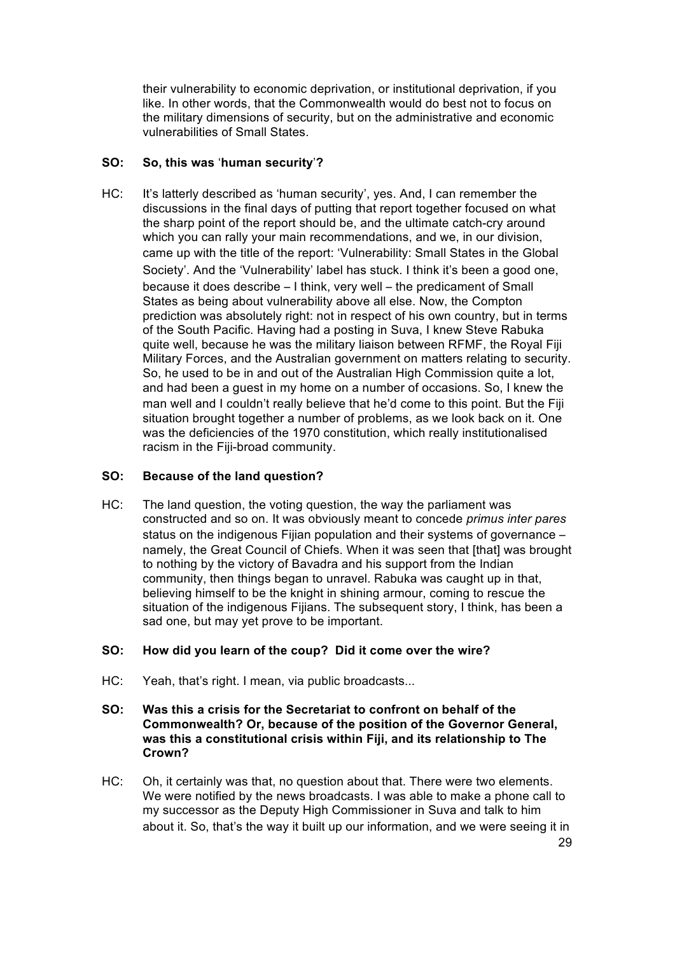their vulnerability to economic deprivation, or institutional deprivation, if you like. In other words, that the Commonwealth would do best not to focus on the military dimensions of security, but on the administrative and economic vulnerabilities of Small States.

# **SO: So, this was** '**human security**'**?**

HC: It's latterly described as 'human security', yes. And, I can remember the discussions in the final days of putting that report together focused on what the sharp point of the report should be, and the ultimate catch-cry around which you can rally your main recommendations, and we, in our division, came up with the title of the report: 'Vulnerability: Small States in the Global Society'. And the 'Vulnerability' label has stuck. I think it's been a good one, because it does describe – I think, very well – the predicament of Small States as being about vulnerability above all else. Now, the Compton prediction was absolutely right: not in respect of his own country, but in terms of the South Pacific. Having had a posting in Suva, I knew Steve Rabuka quite well, because he was the military liaison between RFMF, the Royal Fiji Military Forces, and the Australian government on matters relating to security. So, he used to be in and out of the Australian High Commission quite a lot, and had been a guest in my home on a number of occasions. So, I knew the man well and I couldn't really believe that he'd come to this point. But the Fiji situation brought together a number of problems, as we look back on it. One was the deficiencies of the 1970 constitution, which really institutionalised racism in the Fiji-broad community.

# **SO: Because of the land question?**

HC: The land question, the voting question, the way the parliament was constructed and so on. It was obviously meant to concede *primus inter pares* status on the indigenous Fijian population and their systems of governance – namely, the Great Council of Chiefs. When it was seen that [that] was brought to nothing by the victory of Bavadra and his support from the Indian community, then things began to unravel. Rabuka was caught up in that, believing himself to be the knight in shining armour, coming to rescue the situation of the indigenous Fijians. The subsequent story, I think, has been a sad one, but may yet prove to be important.

# **SO: How did you learn of the coup? Did it come over the wire?**

- HC: Yeah, that's right. I mean, via public broadcasts...
- **SO: Was this a crisis for the Secretariat to confront on behalf of the Commonwealth? Or, because of the position of the Governor General, was this a constitutional crisis within Fiji, and its relationship to The Crown?**
- HC: Oh, it certainly was that, no question about that. There were two elements. We were notified by the news broadcasts. I was able to make a phone call to my successor as the Deputy High Commissioner in Suva and talk to him about it. So, that's the way it built up our information, and we were seeing it in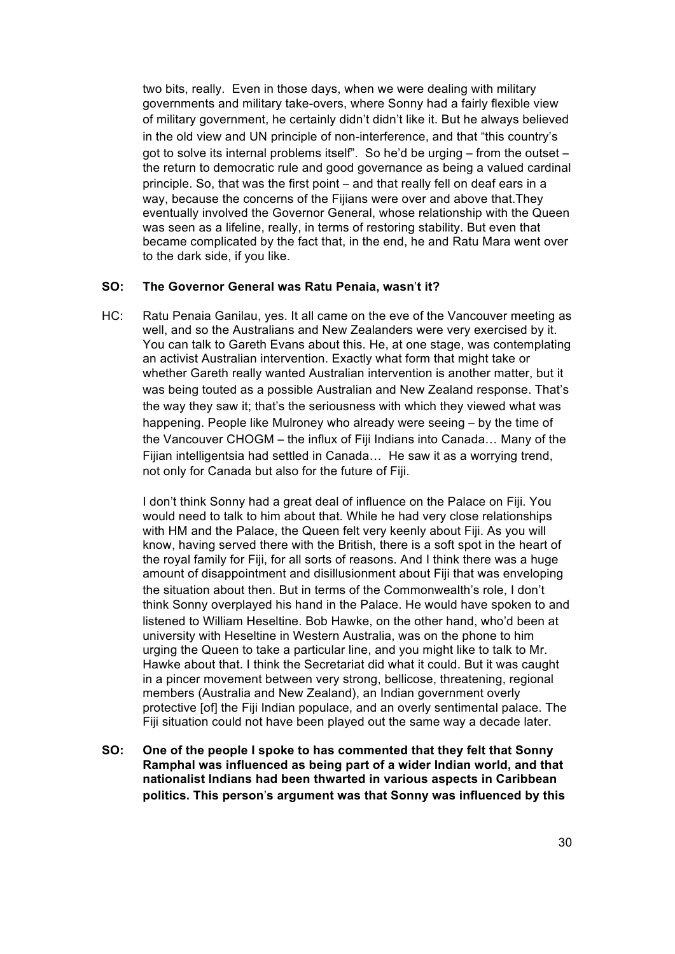two bits, really. Even in those days, when we were dealing with military governments and military take-overs, where Sonny had a fairly flexible view of military government, he certainly didn't didn't like it. But he always believed in the old view and UN principle of non-interference, and that "this country's got to solve its internal problems itself". So he'd be urging – from the outset – the return to democratic rule and good governance as being a valued cardinal principle. So, that was the first point – and that really fell on deaf ears in a way, because the concerns of the Fijians were over and above that.They eventually involved the Governor General, whose relationship with the Queen was seen as a lifeline, really, in terms of restoring stability. But even that became complicated by the fact that, in the end, he and Ratu Mara went over to the dark side, if you like.

### **SO: The Governor General was Ratu Penaia, wasn**'**t it?**

HC: Ratu Penaia Ganilau, yes. It all came on the eve of the Vancouver meeting as well, and so the Australians and New Zealanders were very exercised by it. You can talk to Gareth Evans about this. He, at one stage, was contemplating an activist Australian intervention. Exactly what form that might take or whether Gareth really wanted Australian intervention is another matter, but it was being touted as a possible Australian and New Zealand response. That's the way they saw it; that's the seriousness with which they viewed what was happening. People like Mulroney who already were seeing – by the time of the Vancouver CHOGM – the influx of Fiji Indians into Canada… Many of the Fijian intelligentsia had settled in Canada… He saw it as a worrying trend, not only for Canada but also for the future of Fiji.

I don't think Sonny had a great deal of influence on the Palace on Fiji. You would need to talk to him about that. While he had very close relationships with HM and the Palace, the Queen felt very keenly about Fiji. As you will know, having served there with the British, there is a soft spot in the heart of the royal family for Fiji, for all sorts of reasons. And I think there was a huge amount of disappointment and disillusionment about Fiji that was enveloping the situation about then. But in terms of the Commonwealth's role, I don't think Sonny overplayed his hand in the Palace. He would have spoken to and listened to William Heseltine. Bob Hawke, on the other hand, who'd been at university with Heseltine in Western Australia, was on the phone to him urging the Queen to take a particular line, and you might like to talk to Mr. Hawke about that. I think the Secretariat did what it could. But it was caught in a pincer movement between very strong, bellicose, threatening, regional members (Australia and New Zealand), an Indian government overly protective [of] the Fiji Indian populace, and an overly sentimental palace. The Fiji situation could not have been played out the same way a decade later.

**SO: One of the people I spoke to has commented that they felt that Sonny Ramphal was influenced as being part of a wider Indian world, and that nationalist Indians had been thwarted in various aspects in Caribbean politics. This person**'**s argument was that Sonny was influenced by this**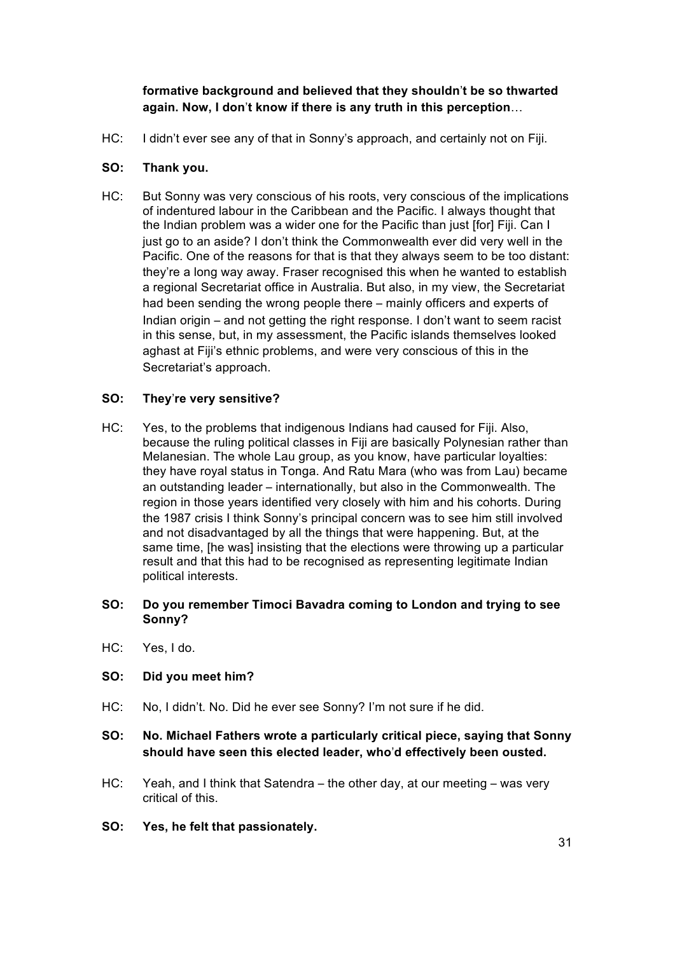# **formative background and believed that they shouldn**'**t be so thwarted again. Now, I don**'**t know if there is any truth in this perception**…

HC: I didn't ever see any of that in Sonny's approach, and certainly not on Fiji.

# **SO: Thank you.**

HC: But Sonny was very conscious of his roots, very conscious of the implications of indentured labour in the Caribbean and the Pacific. I always thought that the Indian problem was a wider one for the Pacific than just [for] Fiji. Can I just go to an aside? I don't think the Commonwealth ever did very well in the Pacific. One of the reasons for that is that they always seem to be too distant: they're a long way away. Fraser recognised this when he wanted to establish a regional Secretariat office in Australia. But also, in my view, the Secretariat had been sending the wrong people there – mainly officers and experts of Indian origin – and not getting the right response. I don't want to seem racist in this sense, but, in my assessment, the Pacific islands themselves looked aghast at Fiji's ethnic problems, and were very conscious of this in the Secretariat's approach.

# **SO: They**'**re very sensitive?**

HC: Yes, to the problems that indigenous Indians had caused for Fiji. Also, because the ruling political classes in Fiji are basically Polynesian rather than Melanesian. The whole Lau group, as you know, have particular loyalties: they have royal status in Tonga. And Ratu Mara (who was from Lau) became an outstanding leader – internationally, but also in the Commonwealth. The region in those years identified very closely with him and his cohorts. During the 1987 crisis I think Sonny's principal concern was to see him still involved and not disadvantaged by all the things that were happening. But, at the same time, [he was] insisting that the elections were throwing up a particular result and that this had to be recognised as representing legitimate Indian political interests.

## **SO: Do you remember Timoci Bavadra coming to London and trying to see Sonny?**

HC: Yes, I do.

## **SO: Did you meet him?**

- HC: No, I didn't. No. Did he ever see Sonny? I'm not sure if he did.
- **SO: No. Michael Fathers wrote a particularly critical piece, saying that Sonny should have seen this elected leader, who**'**d effectively been ousted.**
- HC: Yeah, and I think that Satendra the other day, at our meeting was very critical of this.
- **SO: Yes, he felt that passionately.**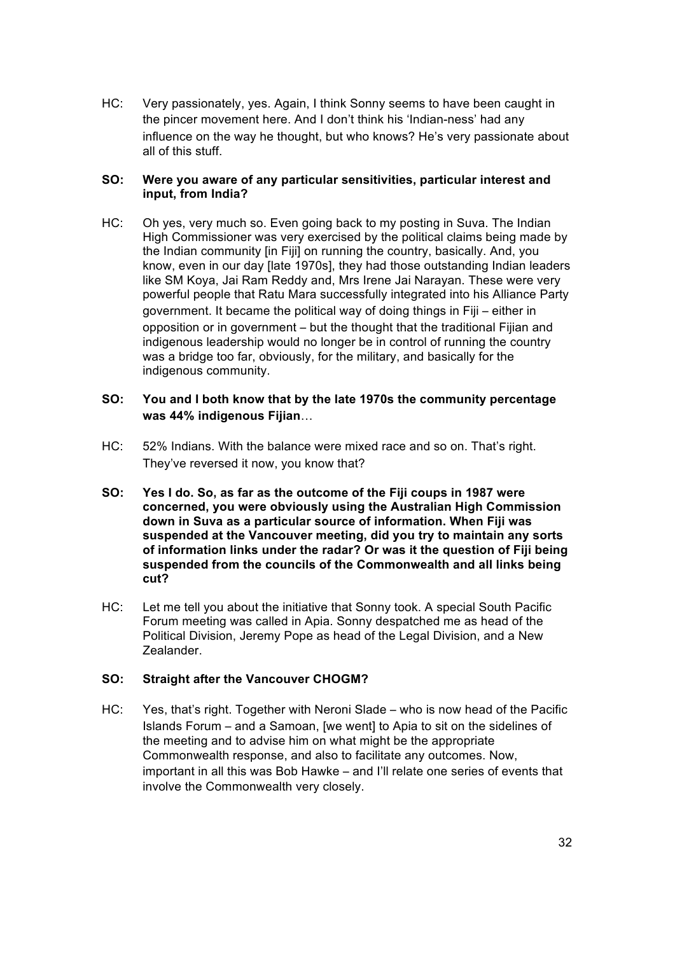HC: Very passionately, yes. Again, I think Sonny seems to have been caught in the pincer movement here. And I don't think his 'Indian-ness' had any influence on the way he thought, but who knows? He's very passionate about all of this stuff.

### **SO: Were you aware of any particular sensitivities, particular interest and input, from India?**

HC: Oh yes, very much so. Even going back to my posting in Suva. The Indian High Commissioner was very exercised by the political claims being made by the Indian community [in Fiji] on running the country, basically. And, you know, even in our day [late 1970s], they had those outstanding Indian leaders like SM Koya, Jai Ram Reddy and, Mrs Irene Jai Narayan. These were very powerful people that Ratu Mara successfully integrated into his Alliance Party government. It became the political way of doing things in Fiji – either in opposition or in government – but the thought that the traditional Fijian and indigenous leadership would no longer be in control of running the country was a bridge too far, obviously, for the military, and basically for the indigenous community.

### **SO: You and I both know that by the late 1970s the community percentage was 44% indigenous Fijian**…

- HC: 52% Indians. With the balance were mixed race and so on. That's right. They've reversed it now, you know that?
- **SO: Yes I do. So, as far as the outcome of the Fiji coups in 1987 were concerned, you were obviously using the Australian High Commission down in Suva as a particular source of information. When Fiji was suspended at the Vancouver meeting, did you try to maintain any sorts of information links under the radar? Or was it the question of Fiji being suspended from the councils of the Commonwealth and all links being cut?**
- HC: Let me tell you about the initiative that Sonny took. A special South Pacific Forum meeting was called in Apia. Sonny despatched me as head of the Political Division, Jeremy Pope as head of the Legal Division, and a New Zealander.

## **SO: Straight after the Vancouver CHOGM?**

HC: Yes, that's right. Together with Neroni Slade – who is now head of the Pacific Islands Forum – and a Samoan, [we went] to Apia to sit on the sidelines of the meeting and to advise him on what might be the appropriate Commonwealth response, and also to facilitate any outcomes. Now, important in all this was Bob Hawke – and I'll relate one series of events that involve the Commonwealth very closely.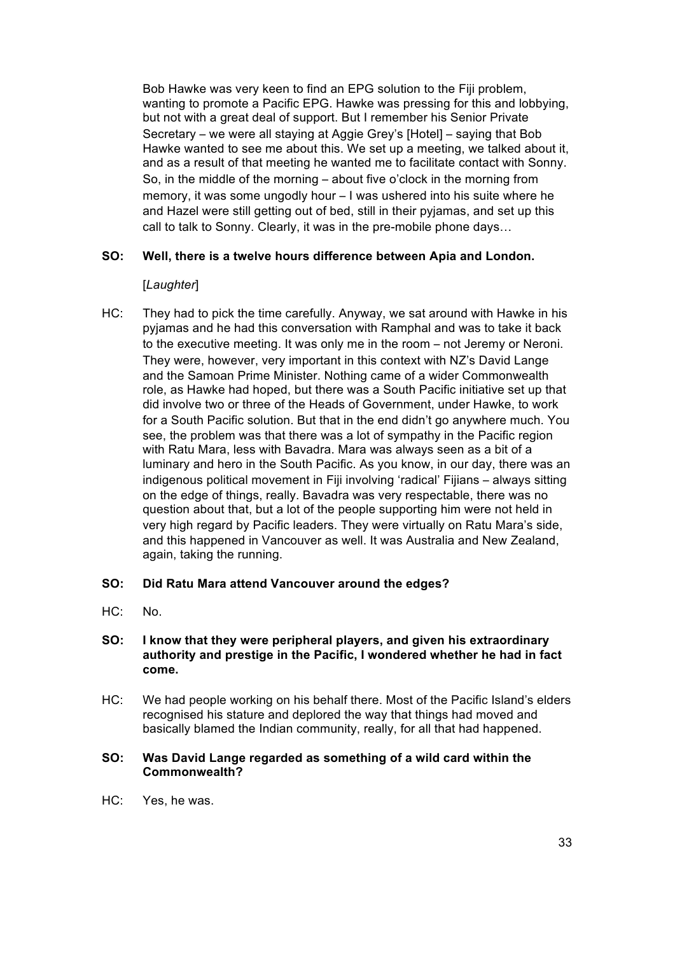Bob Hawke was very keen to find an EPG solution to the Fiji problem, wanting to promote a Pacific EPG. Hawke was pressing for this and lobbying, but not with a great deal of support. But I remember his Senior Private Secretary – we were all staying at Aggie Grey's [Hotel] – saying that Bob Hawke wanted to see me about this. We set up a meeting, we talked about it, and as a result of that meeting he wanted me to facilitate contact with Sonny. So, in the middle of the morning – about five o'clock in the morning from memory, it was some ungodly hour – I was ushered into his suite where he and Hazel were still getting out of bed, still in their pyjamas, and set up this call to talk to Sonny. Clearly, it was in the pre-mobile phone days…

## **SO: Well, there is a twelve hours difference between Apia and London.**

## [*Laughter*]

HC: They had to pick the time carefully. Anyway, we sat around with Hawke in his pyjamas and he had this conversation with Ramphal and was to take it back to the executive meeting. It was only me in the room – not Jeremy or Neroni. They were, however, very important in this context with NZ's David Lange and the Samoan Prime Minister. Nothing came of a wider Commonwealth role, as Hawke had hoped, but there was a South Pacific initiative set up that did involve two or three of the Heads of Government, under Hawke, to work for a South Pacific solution. But that in the end didn't go anywhere much. You see, the problem was that there was a lot of sympathy in the Pacific region with Ratu Mara, less with Bavadra. Mara was always seen as a bit of a luminary and hero in the South Pacific. As you know, in our day, there was an indigenous political movement in Fiji involving 'radical' Fijians – always sitting on the edge of things, really. Bavadra was very respectable, there was no question about that, but a lot of the people supporting him were not held in very high regard by Pacific leaders. They were virtually on Ratu Mara's side, and this happened in Vancouver as well. It was Australia and New Zealand, again, taking the running.

## **SO: Did Ratu Mara attend Vancouver around the edges?**

HC: No.

### **SO: I know that they were peripheral players, and given his extraordinary authority and prestige in the Pacific, I wondered whether he had in fact come.**

HC: We had people working on his behalf there. Most of the Pacific Island's elders recognised his stature and deplored the way that things had moved and basically blamed the Indian community, really, for all that had happened.

### **SO: Was David Lange regarded as something of a wild card within the Commonwealth?**

HC: Yes, he was.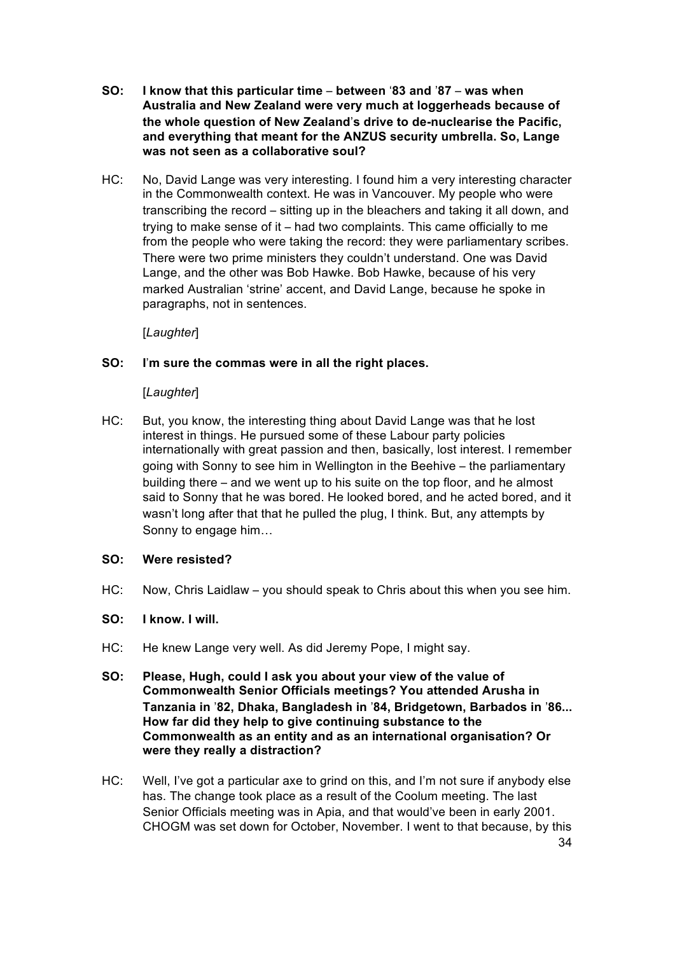- **SO: I know that this particular time between** '**83 and** '**87 was when Australia and New Zealand were very much at loggerheads because of the whole question of New Zealand**'**s drive to de-nuclearise the Pacific, and everything that meant for the ANZUS security umbrella. So, Lange was not seen as a collaborative soul?**
- HC: No, David Lange was very interesting. I found him a very interesting character in the Commonwealth context. He was in Vancouver. My people who were transcribing the record – sitting up in the bleachers and taking it all down, and trying to make sense of it – had two complaints. This came officially to me from the people who were taking the record: they were parliamentary scribes. There were two prime ministers they couldn't understand. One was David Lange, and the other was Bob Hawke. Bob Hawke, because of his very marked Australian 'strine' accent, and David Lange, because he spoke in paragraphs, not in sentences.

[*Laughter*]

## **SO: I**'**m sure the commas were in all the right places.**

### [*Laughter*]

HC: But, you know, the interesting thing about David Lange was that he lost interest in things. He pursued some of these Labour party policies internationally with great passion and then, basically, lost interest. I remember going with Sonny to see him in Wellington in the Beehive – the parliamentary building there – and we went up to his suite on the top floor, and he almost said to Sonny that he was bored. He looked bored, and he acted bored, and it wasn't long after that that he pulled the plug, I think. But, any attempts by Sonny to engage him…

## **SO: Were resisted?**

- HC: Now, Chris Laidlaw you should speak to Chris about this when you see him.
- **SO: I know. I will.**
- HC: He knew Lange very well. As did Jeremy Pope, I might say.
- **SO: Please, Hugh, could I ask you about your view of the value of Commonwealth Senior Officials meetings? You attended Arusha in Tanzania in** '**82, Dhaka, Bangladesh in** '**84, Bridgetown, Barbados in** '**86... How far did they help to give continuing substance to the Commonwealth as an entity and as an international organisation? Or were they really a distraction?**
- HC: Well, I've got a particular axe to grind on this, and I'm not sure if anybody else has. The change took place as a result of the Coolum meeting. The last Senior Officials meeting was in Apia, and that would've been in early 2001. CHOGM was set down for October, November. I went to that because, by this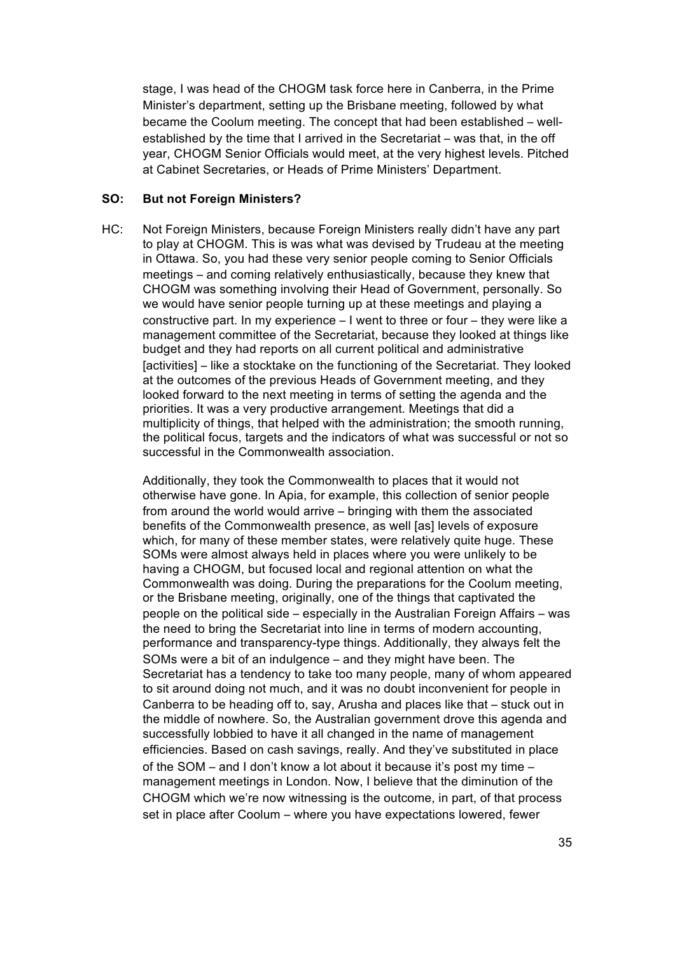stage, I was head of the CHOGM task force here in Canberra, in the Prime Minister's department, setting up the Brisbane meeting, followed by what became the Coolum meeting. The concept that had been established – wellestablished by the time that I arrived in the Secretariat – was that, in the off year, CHOGM Senior Officials would meet, at the very highest levels. Pitched at Cabinet Secretaries, or Heads of Prime Ministers' Department.

## **SO: But not Foreign Ministers?**

HC: Not Foreign Ministers, because Foreign Ministers really didn't have any part to play at CHOGM. This is was what was devised by Trudeau at the meeting in Ottawa. So, you had these very senior people coming to Senior Officials meetings – and coming relatively enthusiastically, because they knew that CHOGM was something involving their Head of Government, personally. So we would have senior people turning up at these meetings and playing a constructive part. In my experience – I went to three or four – they were like a management committee of the Secretariat, because they looked at things like budget and they had reports on all current political and administrative [activities] – like a stocktake on the functioning of the Secretariat. They looked at the outcomes of the previous Heads of Government meeting, and they looked forward to the next meeting in terms of setting the agenda and the priorities. It was a very productive arrangement. Meetings that did a multiplicity of things, that helped with the administration; the smooth running, the political focus, targets and the indicators of what was successful or not so successful in the Commonwealth association.

Additionally, they took the Commonwealth to places that it would not otherwise have gone. In Apia, for example, this collection of senior people from around the world would arrive – bringing with them the associated benefits of the Commonwealth presence, as well [as] levels of exposure which, for many of these member states, were relatively quite huge. These SOMs were almost always held in places where you were unlikely to be having a CHOGM, but focused local and regional attention on what the Commonwealth was doing. During the preparations for the Coolum meeting, or the Brisbane meeting, originally, one of the things that captivated the people on the political side – especially in the Australian Foreign Affairs – was the need to bring the Secretariat into line in terms of modern accounting, performance and transparency-type things. Additionally, they always felt the SOMs were a bit of an indulgence – and they might have been. The Secretariat has a tendency to take too many people, many of whom appeared to sit around doing not much, and it was no doubt inconvenient for people in Canberra to be heading off to, say, Arusha and places like that – stuck out in the middle of nowhere. So, the Australian government drove this agenda and successfully lobbied to have it all changed in the name of management efficiencies. Based on cash savings, really. And they've substituted in place of the SOM – and I don't know a lot about it because it's post my time – management meetings in London. Now, I believe that the diminution of the CHOGM which we're now witnessing is the outcome, in part, of that process set in place after Coolum – where you have expectations lowered, fewer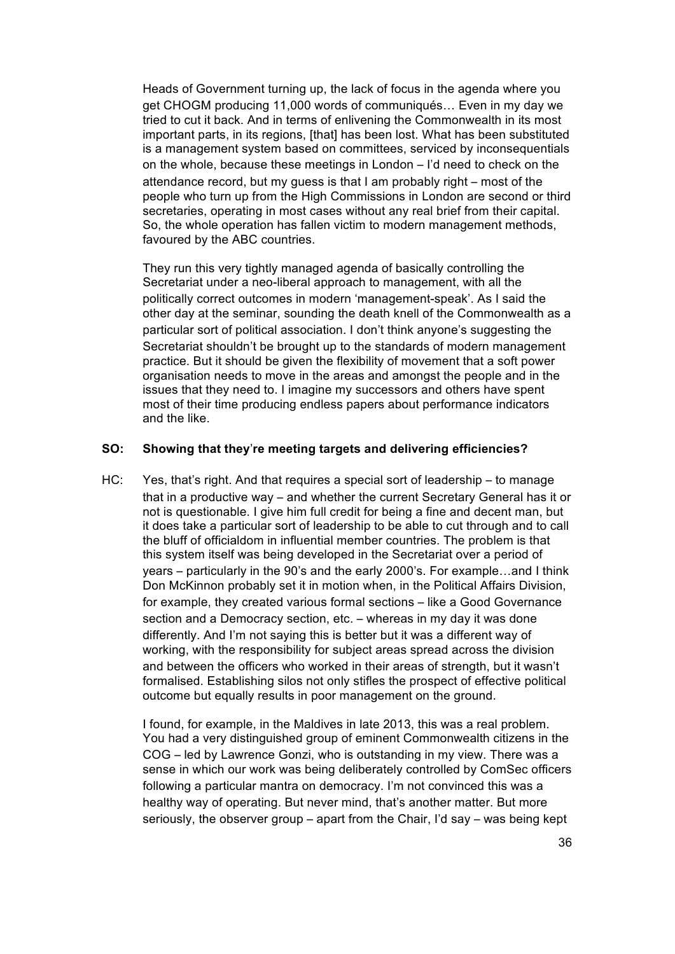Heads of Government turning up, the lack of focus in the agenda where you get CHOGM producing 11,000 words of communiqués… Even in my day we tried to cut it back. And in terms of enlivening the Commonwealth in its most important parts, in its regions, [that] has been lost. What has been substituted is a management system based on committees, serviced by inconsequentials on the whole, because these meetings in London – I'd need to check on the attendance record, but my guess is that I am probably right – most of the people who turn up from the High Commissions in London are second or third secretaries, operating in most cases without any real brief from their capital. So, the whole operation has fallen victim to modern management methods, favoured by the ABC countries.

They run this very tightly managed agenda of basically controlling the Secretariat under a neo-liberal approach to management, with all the politically correct outcomes in modern 'management-speak'. As I said the other day at the seminar, sounding the death knell of the Commonwealth as a particular sort of political association. I don't think anyone's suggesting the Secretariat shouldn't be brought up to the standards of modern management practice. But it should be given the flexibility of movement that a soft power organisation needs to move in the areas and amongst the people and in the issues that they need to. I imagine my successors and others have spent most of their time producing endless papers about performance indicators and the like.

#### **SO: Showing that they**'**re meeting targets and delivering efficiencies?**

HC: Yes, that's right. And that requires a special sort of leadership – to manage that in a productive way – and whether the current Secretary General has it or not is questionable. I give him full credit for being a fine and decent man, but it does take a particular sort of leadership to be able to cut through and to call the bluff of officialdom in influential member countries. The problem is that this system itself was being developed in the Secretariat over a period of years – particularly in the 90's and the early 2000's. For example…and I think Don McKinnon probably set it in motion when, in the Political Affairs Division, for example, they created various formal sections – like a Good Governance section and a Democracy section, etc. – whereas in my day it was done differently. And I'm not saying this is better but it was a different way of working, with the responsibility for subject areas spread across the division and between the officers who worked in their areas of strength, but it wasn't formalised. Establishing silos not only stifles the prospect of effective political outcome but equally results in poor management on the ground.

I found, for example, in the Maldives in late 2013, this was a real problem. You had a very distinguished group of eminent Commonwealth citizens in the COG – led by Lawrence Gonzi, who is outstanding in my view. There was a sense in which our work was being deliberately controlled by ComSec officers following a particular mantra on democracy. I'm not convinced this was a healthy way of operating. But never mind, that's another matter. But more seriously, the observer group – apart from the Chair, I'd say – was being kept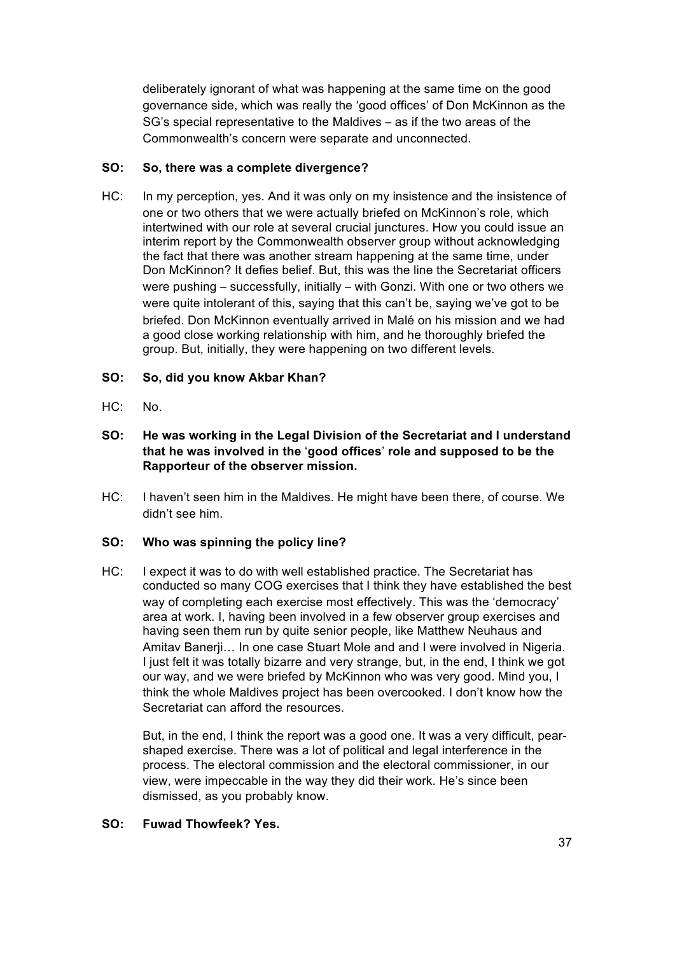deliberately ignorant of what was happening at the same time on the good governance side, which was really the 'good offices' of Don McKinnon as the SG's special representative to the Maldives – as if the two areas of the Commonwealth's concern were separate and unconnected.

# **SO: So, there was a complete divergence?**

HC: In my perception, yes. And it was only on my insistence and the insistence of one or two others that we were actually briefed on McKinnon's role, which intertwined with our role at several crucial junctures. How you could issue an interim report by the Commonwealth observer group without acknowledging the fact that there was another stream happening at the same time, under Don McKinnon? It defies belief. But, this was the line the Secretariat officers were pushing – successfully, initially – with Gonzi. With one or two others we were quite intolerant of this, saying that this can't be, saying we've got to be briefed. Don McKinnon eventually arrived in Malé on his mission and we had a good close working relationship with him, and he thoroughly briefed the group. But, initially, they were happening on two different levels.

# **SO: So, did you know Akbar Khan?**

- HC: No.
- **SO: He was working in the Legal Division of the Secretariat and I understand that he was involved in the** '**good offices**' **role and supposed to be the Rapporteur of the observer mission.**
- HC: I haven't seen him in the Maldives. He might have been there, of course. We didn't see him.

## **SO: Who was spinning the policy line?**

HC: I expect it was to do with well established practice. The Secretariat has conducted so many COG exercises that I think they have established the best way of completing each exercise most effectively. This was the 'democracy' area at work. I, having been involved in a few observer group exercises and having seen them run by quite senior people, like Matthew Neuhaus and Amitav Banerji… In one case Stuart Mole and and I were involved in Nigeria. I just felt it was totally bizarre and very strange, but, in the end, I think we got our way, and we were briefed by McKinnon who was very good. Mind you, I think the whole Maldives project has been overcooked. I don't know how the Secretariat can afford the resources.

But, in the end, I think the report was a good one. It was a very difficult, pearshaped exercise. There was a lot of political and legal interference in the process. The electoral commission and the electoral commissioner, in our view, were impeccable in the way they did their work. He's since been dismissed, as you probably know.

# **SO: Fuwad Thowfeek? Yes.**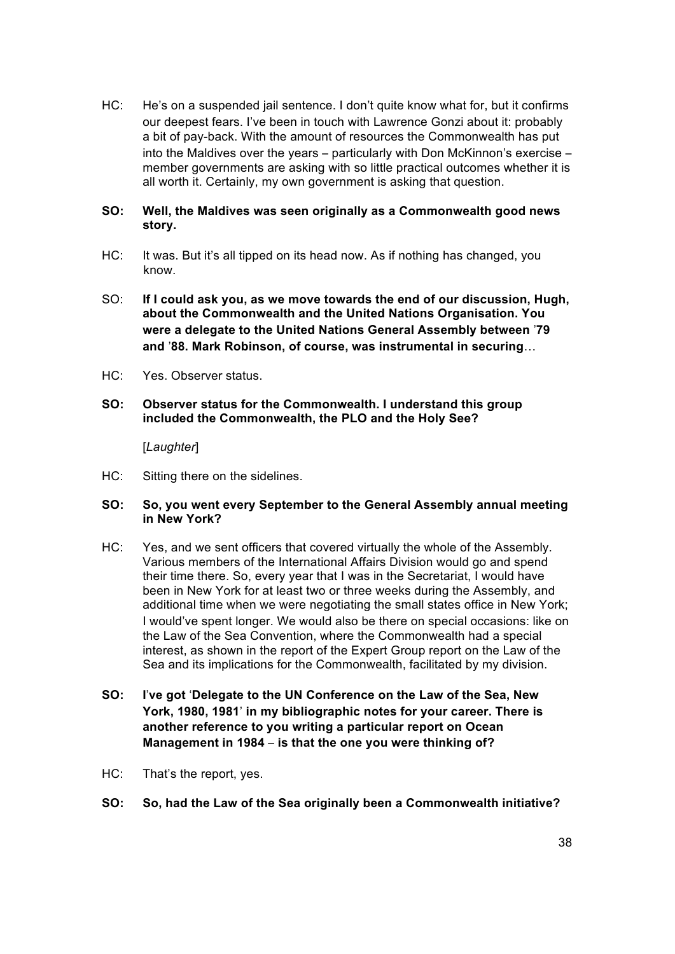HC: He's on a suspended jail sentence. I don't quite know what for, but it confirms our deepest fears. I've been in touch with Lawrence Gonzi about it: probably a bit of pay-back. With the amount of resources the Commonwealth has put into the Maldives over the years – particularly with Don McKinnon's exercise – member governments are asking with so little practical outcomes whether it is all worth it. Certainly, my own government is asking that question.

## **SO: Well, the Maldives was seen originally as a Commonwealth good news story.**

- HC: It was. But it's all tipped on its head now. As if nothing has changed, you know.
- SO: **If I could ask you, as we move towards the end of our discussion, Hugh, about the Commonwealth and the United Nations Organisation. You were a delegate to the United Nations General Assembly between** '**79 and** '**88. Mark Robinson, of course, was instrumental in securing**…
- HC: Yes. Observer status.
- **SO: Observer status for the Commonwealth. I understand this group included the Commonwealth, the PLO and the Holy See?**

[*Laughter*]

HC: Sitting there on the sidelines.

### **SO: So, you went every September to the General Assembly annual meeting in New York?**

- HC: Yes, and we sent officers that covered virtually the whole of the Assembly. Various members of the International Affairs Division would go and spend their time there. So, every year that I was in the Secretariat, I would have been in New York for at least two or three weeks during the Assembly, and additional time when we were negotiating the small states office in New York; I would've spent longer. We would also be there on special occasions: like on the Law of the Sea Convention, where the Commonwealth had a special interest, as shown in the report of the Expert Group report on the Law of the Sea and its implications for the Commonwealth, facilitated by my division.
- **SO: I**'**ve got** '**Delegate to the UN Conference on the Law of the Sea, New York, 1980, 1981**' **in my bibliographic notes for your career. There is another reference to you writing a particular report on Ocean Management in 1984** – **is that the one you were thinking of?**
- HC: That's the report, yes.
- **SO: So, had the Law of the Sea originally been a Commonwealth initiative?**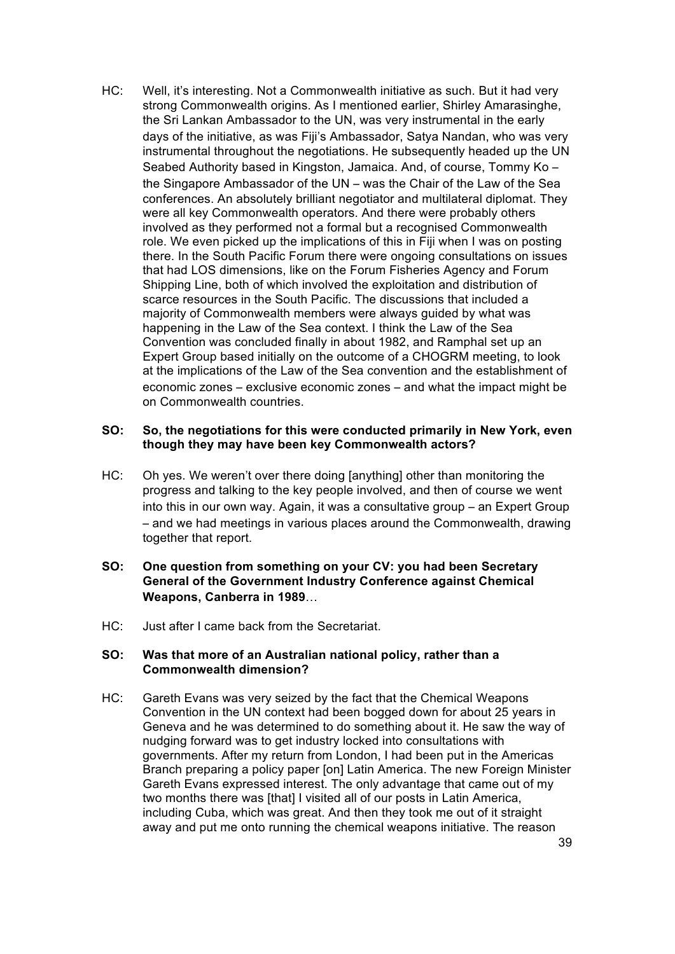HC: Well, it's interesting. Not a Commonwealth initiative as such. But it had very strong Commonwealth origins. As I mentioned earlier, Shirley Amarasinghe, the Sri Lankan Ambassador to the UN, was very instrumental in the early days of the initiative, as was Fiji's Ambassador, Satya Nandan, who was very instrumental throughout the negotiations. He subsequently headed up the UN Seabed Authority based in Kingston, Jamaica. And, of course, Tommy Ko – the Singapore Ambassador of the UN – was the Chair of the Law of the Sea conferences. An absolutely brilliant negotiator and multilateral diplomat. They were all key Commonwealth operators. And there were probably others involved as they performed not a formal but a recognised Commonwealth role. We even picked up the implications of this in Fiji when I was on posting there. In the South Pacific Forum there were ongoing consultations on issues that had LOS dimensions, like on the Forum Fisheries Agency and Forum Shipping Line, both of which involved the exploitation and distribution of scarce resources in the South Pacific. The discussions that included a majority of Commonwealth members were always guided by what was happening in the Law of the Sea context. I think the Law of the Sea Convention was concluded finally in about 1982, and Ramphal set up an Expert Group based initially on the outcome of a CHOGRM meeting, to look at the implications of the Law of the Sea convention and the establishment of economic zones – exclusive economic zones – and what the impact might be on Commonwealth countries.

#### **SO: So, the negotiations for this were conducted primarily in New York, even though they may have been key Commonwealth actors?**

- HC: Oh yes. We weren't over there doing [anything] other than monitoring the progress and talking to the key people involved, and then of course we went into this in our own way. Again, it was a consultative group – an Expert Group – and we had meetings in various places around the Commonwealth, drawing together that report.
- **SO: One question from something on your CV: you had been Secretary General of the Government Industry Conference against Chemical Weapons, Canberra in 1989**…
- HC: Just after I came back from the Secretariat.

#### **SO: Was that more of an Australian national policy, rather than a Commonwealth dimension?**

HC: Gareth Evans was very seized by the fact that the Chemical Weapons Convention in the UN context had been bogged down for about 25 years in Geneva and he was determined to do something about it. He saw the way of nudging forward was to get industry locked into consultations with governments. After my return from London, I had been put in the Americas Branch preparing a policy paper [on] Latin America. The new Foreign Minister Gareth Evans expressed interest. The only advantage that came out of my two months there was [that] I visited all of our posts in Latin America, including Cuba, which was great. And then they took me out of it straight away and put me onto running the chemical weapons initiative. The reason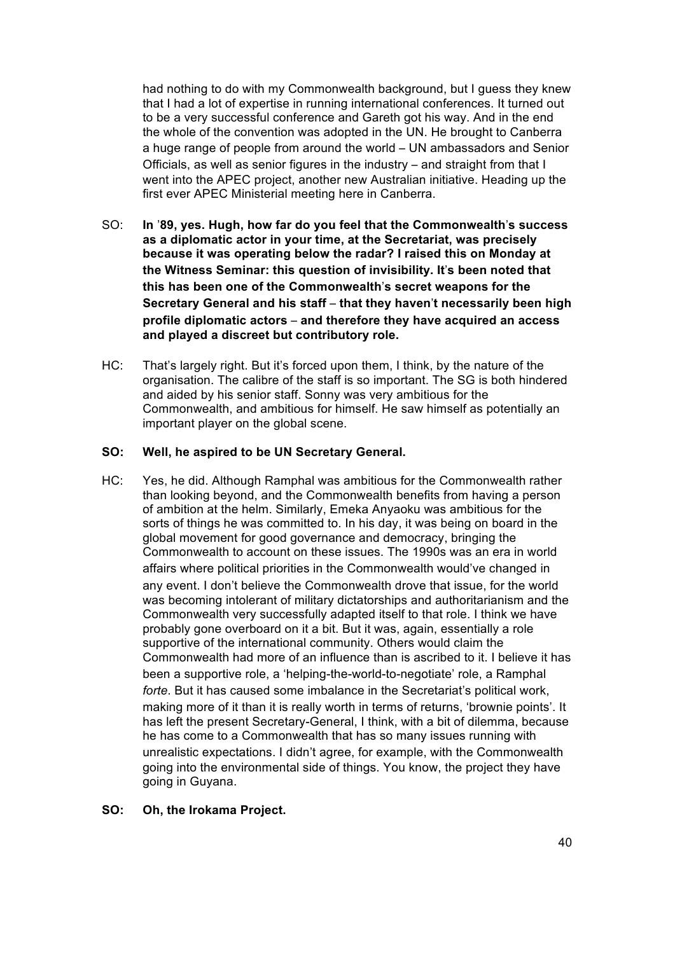had nothing to do with my Commonwealth background, but I guess they knew that I had a lot of expertise in running international conferences. It turned out to be a very successful conference and Gareth got his way. And in the end the whole of the convention was adopted in the UN. He brought to Canberra a huge range of people from around the world – UN ambassadors and Senior Officials, as well as senior figures in the industry – and straight from that I went into the APEC project, another new Australian initiative. Heading up the first ever APEC Ministerial meeting here in Canberra.

- SO: **In** '**89, yes. Hugh, how far do you feel that the Commonwealth**'**s success as a diplomatic actor in your time, at the Secretariat, was precisely because it was operating below the radar? I raised this on Monday at the Witness Seminar: this question of invisibility. It**'**s been noted that this has been one of the Commonwealth**'**s secret weapons for the Secretary General and his staff** – **that they haven**'**t necessarily been high profile diplomatic actors** – **and therefore they have acquired an access and played a discreet but contributory role.**
- HC: That's largely right. But it's forced upon them, I think, by the nature of the organisation. The calibre of the staff is so important. The SG is both hindered and aided by his senior staff. Sonny was very ambitious for the Commonwealth, and ambitious for himself. He saw himself as potentially an important player on the global scene.

#### **SO: Well, he aspired to be UN Secretary General.**

HC: Yes, he did. Although Ramphal was ambitious for the Commonwealth rather than looking beyond, and the Commonwealth benefits from having a person of ambition at the helm. Similarly, Emeka Anyaoku was ambitious for the sorts of things he was committed to. In his day, it was being on board in the global movement for good governance and democracy, bringing the Commonwealth to account on these issues. The 1990s was an era in world affairs where political priorities in the Commonwealth would've changed in any event. I don't believe the Commonwealth drove that issue, for the world was becoming intolerant of military dictatorships and authoritarianism and the Commonwealth very successfully adapted itself to that role. I think we have probably gone overboard on it a bit. But it was, again, essentially a role supportive of the international community. Others would claim the Commonwealth had more of an influence than is ascribed to it. I believe it has been a supportive role, a 'helping-the-world-to-negotiate' role, a Ramphal *forte*. But it has caused some imbalance in the Secretariat's political work, making more of it than it is really worth in terms of returns, 'brownie points'. It has left the present Secretary-General, I think, with a bit of dilemma, because he has come to a Commonwealth that has so many issues running with unrealistic expectations. I didn't agree, for example, with the Commonwealth going into the environmental side of things. You know, the project they have going in Guyana.

### **SO: Oh, the Irokama Project.**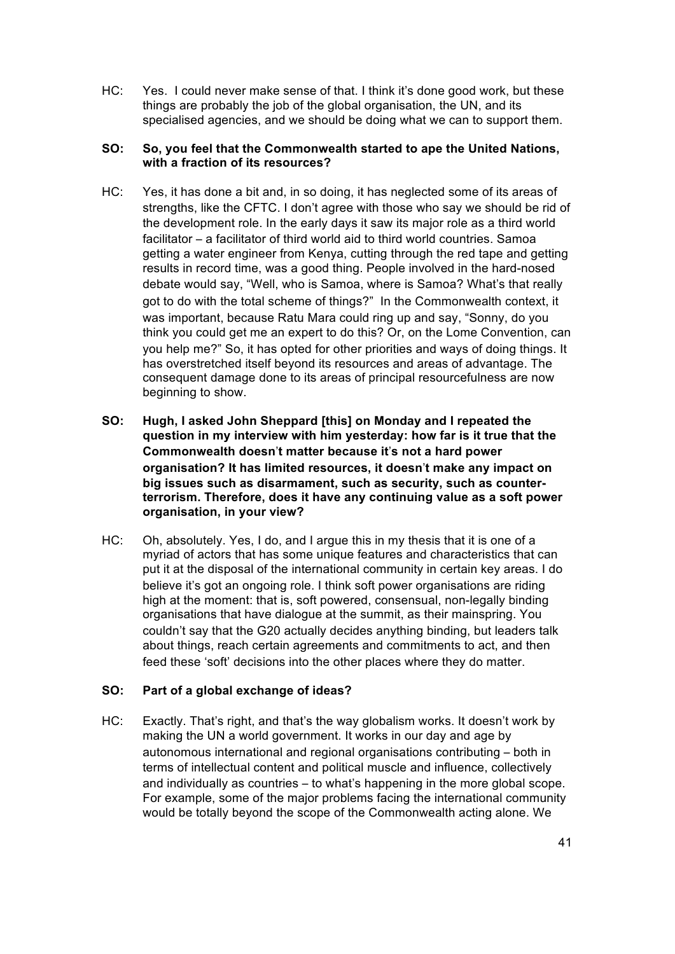HC: Yes. I could never make sense of that. I think it's done good work, but these things are probably the job of the global organisation, the UN, and its specialised agencies, and we should be doing what we can to support them.

## **SO: So, you feel that the Commonwealth started to ape the United Nations, with a fraction of its resources?**

- HC: Yes, it has done a bit and, in so doing, it has neglected some of its areas of strengths, like the CFTC. I don't agree with those who say we should be rid of the development role. In the early days it saw its major role as a third world facilitator – a facilitator of third world aid to third world countries. Samoa getting a water engineer from Kenya, cutting through the red tape and getting results in record time, was a good thing. People involved in the hard-nosed debate would say, "Well, who is Samoa, where is Samoa? What's that really got to do with the total scheme of things?" In the Commonwealth context, it was important, because Ratu Mara could ring up and say, "Sonny, do you think you could get me an expert to do this? Or, on the Lome Convention, can you help me?" So, it has opted for other priorities and ways of doing things. It has overstretched itself beyond its resources and areas of advantage. The consequent damage done to its areas of principal resourcefulness are now beginning to show.
- **SO: Hugh, I asked John Sheppard [this] on Monday and I repeated the question in my interview with him yesterday: how far is it true that the Commonwealth doesn**'**t matter because it**'**s not a hard power organisation? It has limited resources, it doesn**'**t make any impact on big issues such as disarmament, such as security, such as counterterrorism. Therefore, does it have any continuing value as a soft power organisation, in your view?**
- HC: Oh, absolutely. Yes, I do, and I argue this in my thesis that it is one of a myriad of actors that has some unique features and characteristics that can put it at the disposal of the international community in certain key areas. I do believe it's got an ongoing role. I think soft power organisations are riding high at the moment: that is, soft powered, consensual, non-legally binding organisations that have dialogue at the summit, as their mainspring. You couldn't say that the G20 actually decides anything binding, but leaders talk about things, reach certain agreements and commitments to act, and then feed these 'soft' decisions into the other places where they do matter.

## **SO: Part of a global exchange of ideas?**

HC: Exactly. That's right, and that's the way globalism works. It doesn't work by making the UN a world government. It works in our day and age by autonomous international and regional organisations contributing – both in terms of intellectual content and political muscle and influence, collectively and individually as countries – to what's happening in the more global scope. For example, some of the major problems facing the international community would be totally beyond the scope of the Commonwealth acting alone. We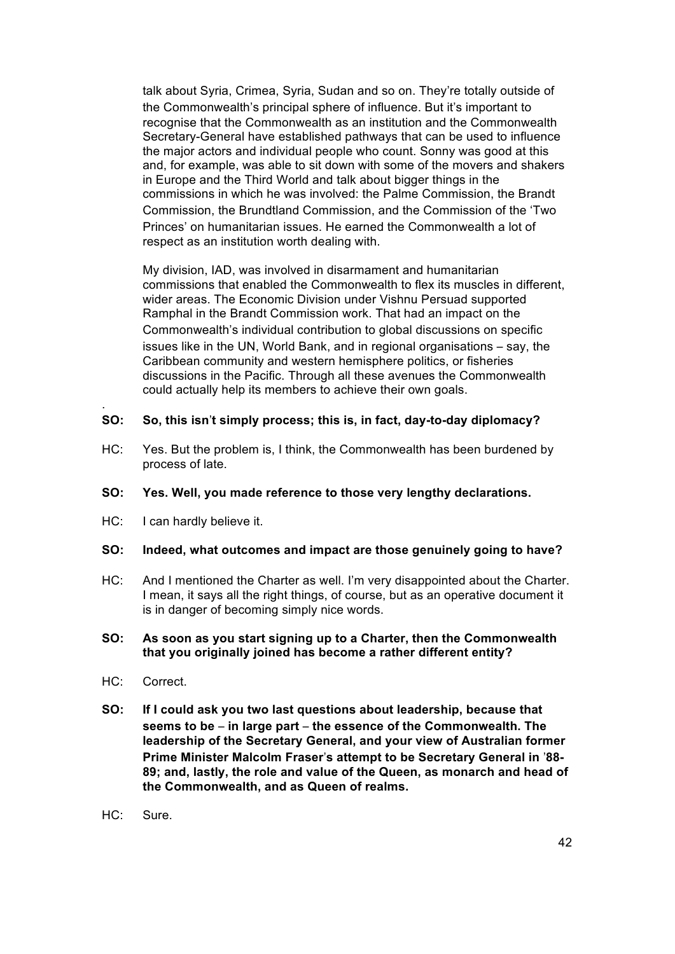talk about Syria, Crimea, Syria, Sudan and so on. They're totally outside of the Commonwealth's principal sphere of influence. But it's important to recognise that the Commonwealth as an institution and the Commonwealth Secretary-General have established pathways that can be used to influence the major actors and individual people who count. Sonny was good at this and, for example, was able to sit down with some of the movers and shakers in Europe and the Third World and talk about bigger things in the commissions in which he was involved: the Palme Commission, the Brandt Commission, the Brundtland Commission, and the Commission of the 'Two Princes' on humanitarian issues. He earned the Commonwealth a lot of respect as an institution worth dealing with.

My division, IAD, was involved in disarmament and humanitarian commissions that enabled the Commonwealth to flex its muscles in different, wider areas. The Economic Division under Vishnu Persuad supported Ramphal in the Brandt Commission work. That had an impact on the Commonwealth's individual contribution to global discussions on specific issues like in the UN, World Bank, and in regional organisations – say, the Caribbean community and western hemisphere politics, or fisheries discussions in the Pacific. Through all these avenues the Commonwealth could actually help its members to achieve their own goals.

### **SO: So, this isn**'**t simply process; this is, in fact, day-to-day diplomacy?**

HC: Yes. But the problem is, I think, the Commonwealth has been burdened by process of late.

#### **SO: Yes. Well, you made reference to those very lengthy declarations.**

HC: I can hardly believe it.

#### **SO: Indeed, what outcomes and impact are those genuinely going to have?**

HC: And I mentioned the Charter as well. I'm very disappointed about the Charter. I mean, it says all the right things, of course, but as an operative document it is in danger of becoming simply nice words.

### **SO: As soon as you start signing up to a Charter, then the Commonwealth that you originally joined has become a rather different entity?**

HC: Correct.

.

- **SO: If I could ask you two last questions about leadership, because that seems to be** – **in large part** – **the essence of the Commonwealth. The leadership of the Secretary General, and your view of Australian former Prime Minister Malcolm Fraser**'**s attempt to be Secretary General in** '**88- 89; and, lastly, the role and value of the Queen, as monarch and head of the Commonwealth, and as Queen of realms.**
- HC: Sure.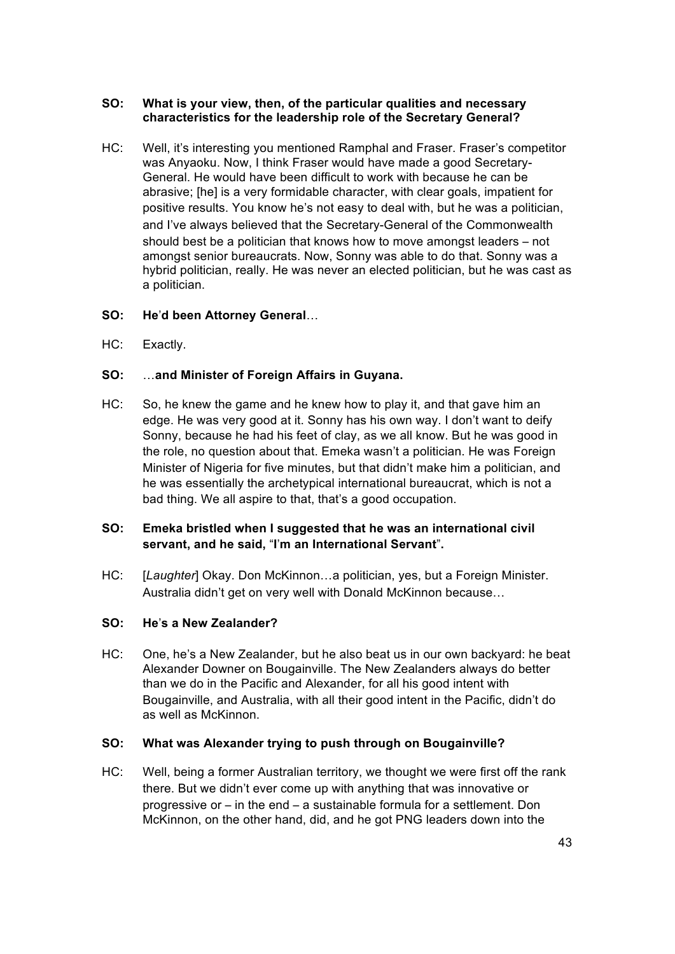### **SO: What is your view, then, of the particular qualities and necessary characteristics for the leadership role of the Secretary General?**

HC: Well, it's interesting you mentioned Ramphal and Fraser. Fraser's competitor was Anyaoku. Now, I think Fraser would have made a good Secretary-General. He would have been difficult to work with because he can be abrasive; [he] is a very formidable character, with clear goals, impatient for positive results. You know he's not easy to deal with, but he was a politician, and I've always believed that the Secretary-General of the Commonwealth should best be a politician that knows how to move amongst leaders – not amongst senior bureaucrats. Now, Sonny was able to do that. Sonny was a hybrid politician, really. He was never an elected politician, but he was cast as a politician.

## **SO: He**'**d been Attorney General**…

HC: Exactly.

# **SO:** …**and Minister of Foreign Affairs in Guyana.**

HC: So, he knew the game and he knew how to play it, and that gave him an edge. He was very good at it. Sonny has his own way. I don't want to deify Sonny, because he had his feet of clay, as we all know. But he was good in the role, no question about that. Emeka wasn't a politician. He was Foreign Minister of Nigeria for five minutes, but that didn't make him a politician, and he was essentially the archetypical international bureaucrat, which is not a bad thing. We all aspire to that, that's a good occupation.

# **SO: Emeka bristled when I suggested that he was an international civil servant, and he said,** "**I**'**m an International Servant**"**.**

HC: [*Laughter*] Okay. Don McKinnon…a politician, yes, but a Foreign Minister. Australia didn't get on very well with Donald McKinnon because…

## **SO: He**'**s a New Zealander?**

HC: One, he's a New Zealander, but he also beat us in our own backyard: he beat Alexander Downer on Bougainville. The New Zealanders always do better than we do in the Pacific and Alexander, for all his good intent with Bougainville, and Australia, with all their good intent in the Pacific, didn't do as well as McKinnon.

## **SO: What was Alexander trying to push through on Bougainville?**

HC: Well, being a former Australian territory, we thought we were first off the rank there. But we didn't ever come up with anything that was innovative or progressive or – in the end – a sustainable formula for a settlement. Don McKinnon, on the other hand, did, and he got PNG leaders down into the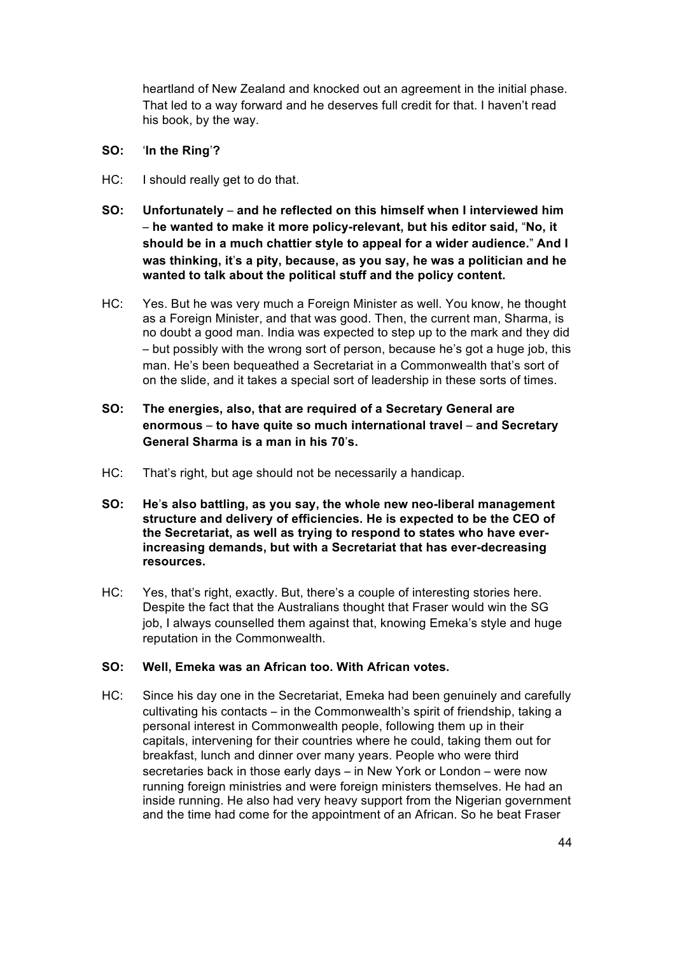heartland of New Zealand and knocked out an agreement in the initial phase. That led to a way forward and he deserves full credit for that. I haven't read his book, by the way.

#### **SO:** '**In the Ring**'**?**

- HC: I should really get to do that.
- **SO: Unfortunately and he reflected on this himself when I interviewed him** – **he wanted to make it more policy-relevant, but his editor said,** "**No, it should be in a much chattier style to appeal for a wider audience.**" **And I was thinking, it**'**s a pity, because, as you say, he was a politician and he wanted to talk about the political stuff and the policy content.**
- HC: Yes. But he was very much a Foreign Minister as well. You know, he thought as a Foreign Minister, and that was good. Then, the current man, Sharma, is no doubt a good man. India was expected to step up to the mark and they did – but possibly with the wrong sort of person, because he's got a huge job, this man. He's been bequeathed a Secretariat in a Commonwealth that's sort of on the slide, and it takes a special sort of leadership in these sorts of times.
- **SO: The energies, also, that are required of a Secretary General are enormous** – **to have quite so much international travel** – **and Secretary General Sharma is a man in his 70**'**s.**
- HC: That's right, but age should not be necessarily a handicap.
- **SO: He**'**s also battling, as you say, the whole new neo-liberal management structure and delivery of efficiencies. He is expected to be the CEO of the Secretariat, as well as trying to respond to states who have everincreasing demands, but with a Secretariat that has ever-decreasing resources.**
- HC: Yes, that's right, exactly. But, there's a couple of interesting stories here. Despite the fact that the Australians thought that Fraser would win the SG job, I always counselled them against that, knowing Emeka's style and huge reputation in the Commonwealth.

## **SO: Well, Emeka was an African too. With African votes.**

HC: Since his day one in the Secretariat, Emeka had been genuinely and carefully cultivating his contacts – in the Commonwealth's spirit of friendship, taking a personal interest in Commonwealth people, following them up in their capitals, intervening for their countries where he could, taking them out for breakfast, lunch and dinner over many years. People who were third secretaries back in those early days – in New York or London – were now running foreign ministries and were foreign ministers themselves. He had an inside running. He also had very heavy support from the Nigerian government and the time had come for the appointment of an African. So he beat Fraser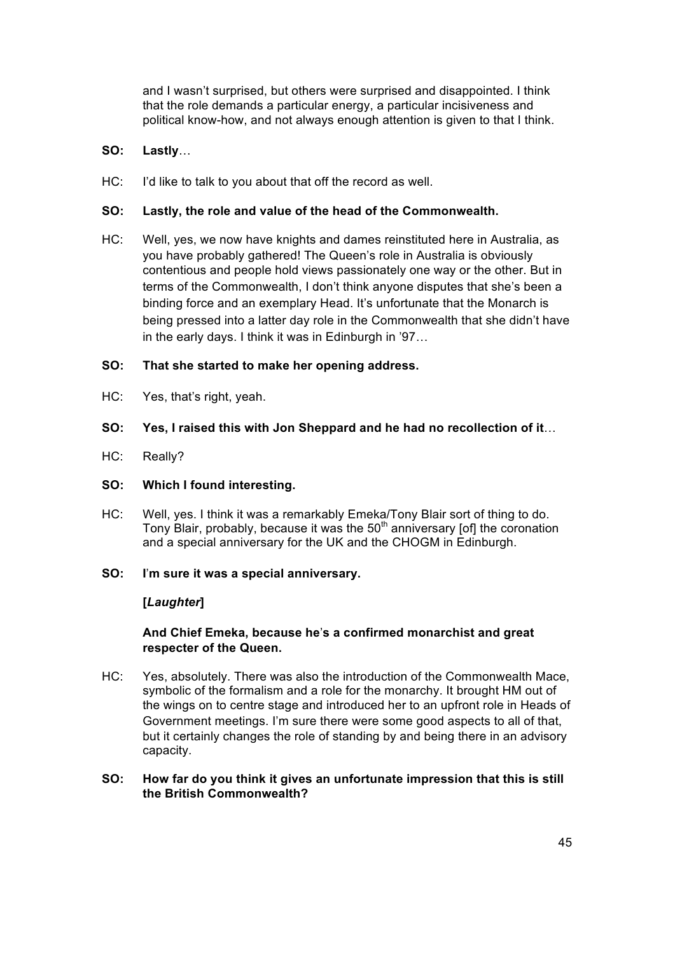and I wasn't surprised, but others were surprised and disappointed. I think that the role demands a particular energy, a particular incisiveness and political know-how, and not always enough attention is given to that I think.

## **SO: Lastly**…

HC: I'd like to talk to you about that off the record as well.

### **SO: Lastly, the role and value of the head of the Commonwealth.**

HC: Well, yes, we now have knights and dames reinstituted here in Australia, as you have probably gathered! The Queen's role in Australia is obviously contentious and people hold views passionately one way or the other. But in terms of the Commonwealth, I don't think anyone disputes that she's been a binding force and an exemplary Head. It's unfortunate that the Monarch is being pressed into a latter day role in the Commonwealth that she didn't have in the early days. I think it was in Edinburgh in '97…

### **SO: That she started to make her opening address.**

- HC: Yes, that's right, yeah.
- **SO: Yes, I raised this with Jon Sheppard and he had no recollection of it**…
- HC: Really?

#### **SO: Which I found interesting.**

- HC: Well, yes. I think it was a remarkably Emeka/Tony Blair sort of thing to do. Tony Blair, probably, because it was the  $50<sup>th</sup>$  anniversary [of] the coronation and a special anniversary for the UK and the CHOGM in Edinburgh.
- **SO: I**'**m sure it was a special anniversary.**

## **[***Laughter***]**

## **And Chief Emeka, because he**'**s a confirmed monarchist and great respecter of the Queen.**

HC: Yes, absolutely. There was also the introduction of the Commonwealth Mace, symbolic of the formalism and a role for the monarchy. It brought HM out of the wings on to centre stage and introduced her to an upfront role in Heads of Government meetings. I'm sure there were some good aspects to all of that, but it certainly changes the role of standing by and being there in an advisory capacity.

### **SO: How far do you think it gives an unfortunate impression that this is still the British Commonwealth?**